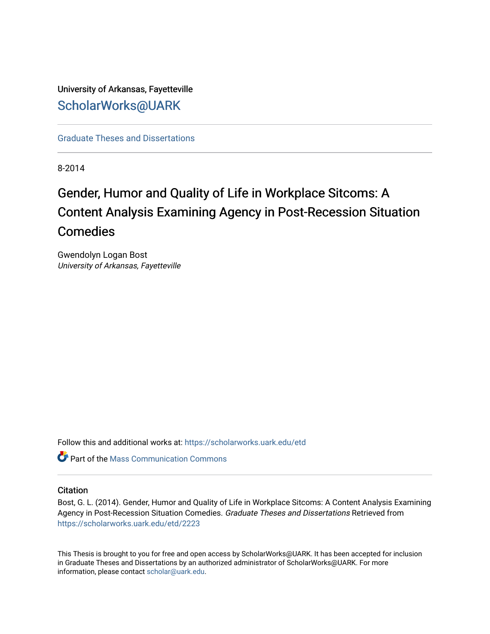# University of Arkansas, Fayetteville [ScholarWorks@UARK](https://scholarworks.uark.edu/)

[Graduate Theses and Dissertations](https://scholarworks.uark.edu/etd) 

8-2014

# Gender, Humor and Quality of Life in Workplace Sitcoms: A Content Analysis Examining Agency in Post-Recession Situation Comedies

Gwendolyn Logan Bost University of Arkansas, Fayetteville

Follow this and additional works at: [https://scholarworks.uark.edu/etd](https://scholarworks.uark.edu/etd?utm_source=scholarworks.uark.edu%2Fetd%2F2223&utm_medium=PDF&utm_campaign=PDFCoverPages)

**C** Part of the Mass Communication Commons

#### **Citation**

Bost, G. L. (2014). Gender, Humor and Quality of Life in Workplace Sitcoms: A Content Analysis Examining Agency in Post-Recession Situation Comedies. Graduate Theses and Dissertations Retrieved from [https://scholarworks.uark.edu/etd/2223](https://scholarworks.uark.edu/etd/2223?utm_source=scholarworks.uark.edu%2Fetd%2F2223&utm_medium=PDF&utm_campaign=PDFCoverPages)

This Thesis is brought to you for free and open access by ScholarWorks@UARK. It has been accepted for inclusion in Graduate Theses and Dissertations by an authorized administrator of ScholarWorks@UARK. For more information, please contact [scholar@uark.edu.](mailto:scholar@uark.edu)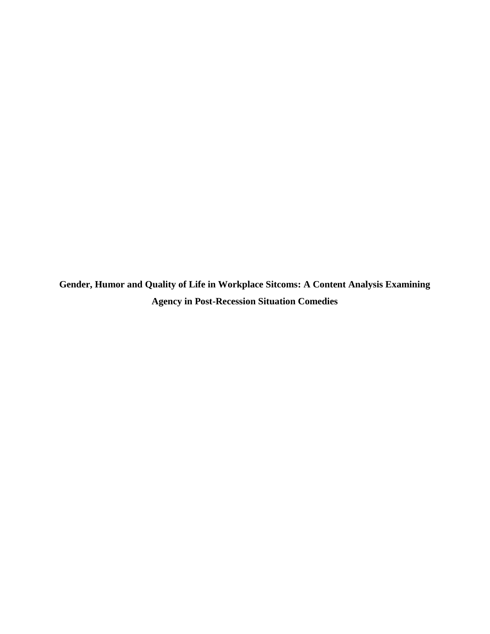**Gender, Humor and Quality of Life in Workplace Sitcoms: A Content Analysis Examining Agency in Post-Recession Situation Comedies**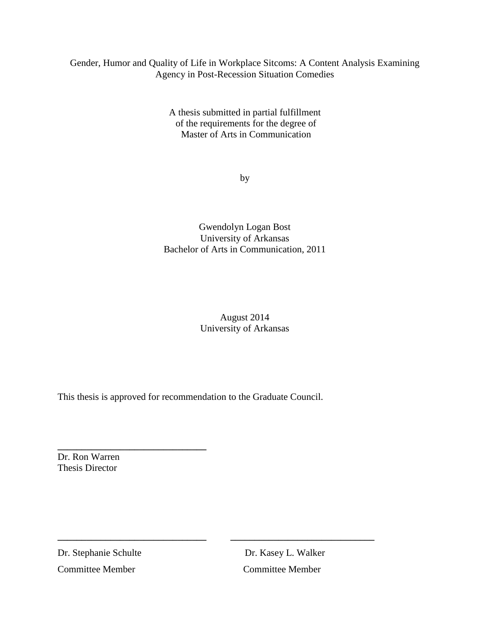# Gender, Humor and Quality of Life in Workplace Sitcoms: A Content Analysis Examining Agency in Post-Recession Situation Comedies

A thesis submitted in partial fulfillment of the requirements for the degree of Master of Arts in Communication

by

Gwendolyn Logan Bost University of Arkansas Bachelor of Arts in Communication, 2011

> August 2014 University of Arkansas

This thesis is approved for recommendation to the Graduate Council.

**\_\_\_\_\_\_\_\_\_\_\_\_\_\_\_\_\_\_\_\_\_\_\_\_\_\_\_\_\_\_\_ \_\_\_\_\_\_\_\_\_\_\_\_\_\_\_\_\_\_\_\_\_\_\_\_\_\_\_\_\_\_**

Dr. Ron Warren Thesis Director

**\_\_\_\_\_\_\_\_\_\_\_\_\_\_\_\_\_\_\_\_\_\_\_\_\_\_\_\_\_\_\_**

Dr. Stephanie Schulte Dr. Kasey L. Walker Committee MemberCommittee Member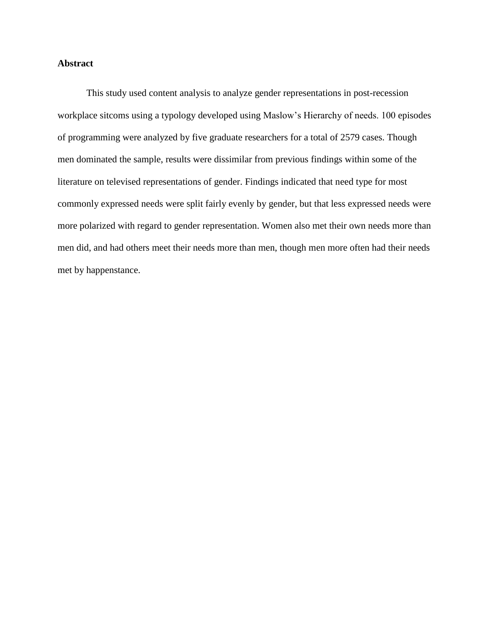# **Abstract**

This study used content analysis to analyze gender representations in post-recession workplace sitcoms using a typology developed using Maslow's Hierarchy of needs. 100 episodes of programming were analyzed by five graduate researchers for a total of 2579 cases. Though men dominated the sample, results were dissimilar from previous findings within some of the literature on televised representations of gender. Findings indicated that need type for most commonly expressed needs were split fairly evenly by gender, but that less expressed needs were more polarized with regard to gender representation. Women also met their own needs more than men did, and had others meet their needs more than men, though men more often had their needs met by happenstance.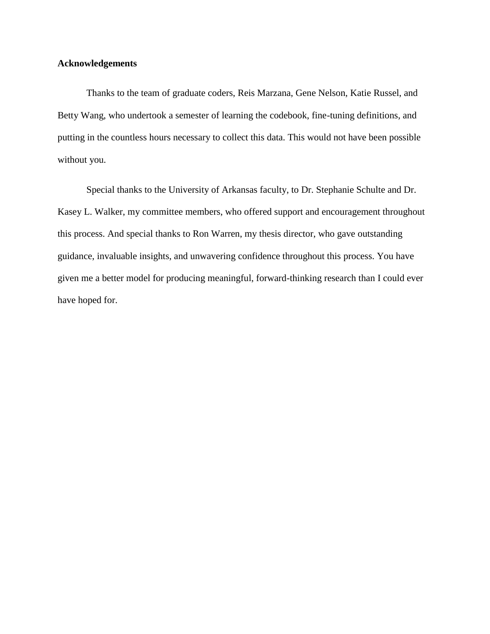#### **Acknowledgements**

Thanks to the team of graduate coders, Reis Marzana, Gene Nelson, Katie Russel, and Betty Wang, who undertook a semester of learning the codebook, fine-tuning definitions, and putting in the countless hours necessary to collect this data. This would not have been possible without you.

Special thanks to the University of Arkansas faculty, to Dr. Stephanie Schulte and Dr. Kasey L. Walker, my committee members, who offered support and encouragement throughout this process. And special thanks to Ron Warren, my thesis director, who gave outstanding guidance, invaluable insights, and unwavering confidence throughout this process. You have given me a better model for producing meaningful, forward-thinking research than I could ever have hoped for.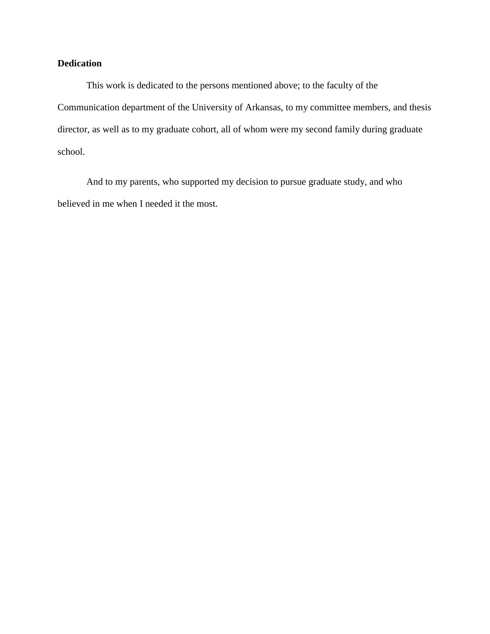# **Dedication**

This work is dedicated to the persons mentioned above; to the faculty of the Communication department of the University of Arkansas, to my committee members, and thesis director, as well as to my graduate cohort, all of whom were my second family during graduate school.

And to my parents, who supported my decision to pursue graduate study, and who believed in me when I needed it the most.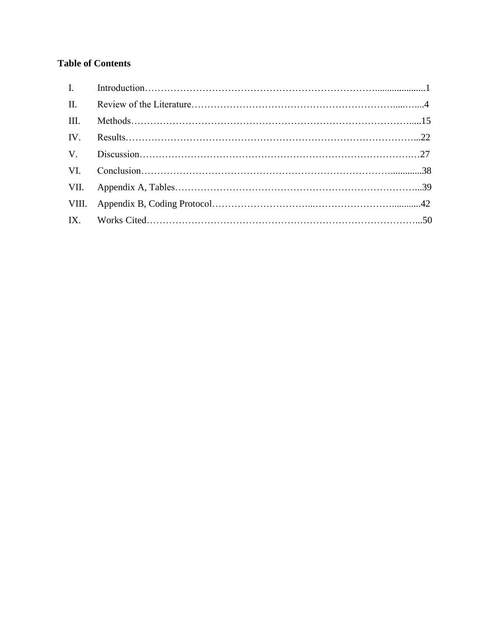# **Table of Contents**

| $\Pi$ . |  |
|---------|--|
| III.    |  |
|         |  |
|         |  |
|         |  |
|         |  |
|         |  |
|         |  |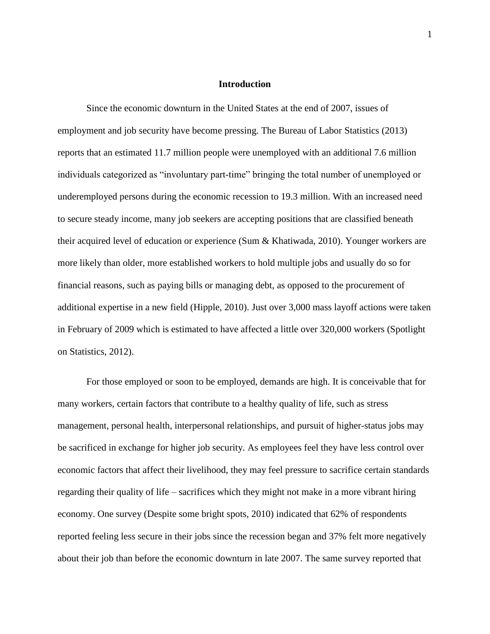#### **Introduction**

Since the economic downturn in the United States at the end of 2007, issues of employment and job security have become pressing. The Bureau of Labor Statistics (2013) reports that an estimated 11.7 million people were unemployed with an additional 7.6 million individuals categorized as "involuntary part-time" bringing the total number of unemployed or underemployed persons during the economic recession to 19.3 million. With an increased need to secure steady income, many job seekers are accepting positions that are classified beneath their acquired level of education or experience (Sum & Khatiwada, 2010). Younger workers are more likely than older, more established workers to hold multiple jobs and usually do so for financial reasons, such as paying bills or managing debt, as opposed to the procurement of additional expertise in a new field (Hipple, 2010). Just over 3,000 mass layoff actions were taken in February of 2009 which is estimated to have affected a little over 320,000 workers (Spotlight on Statistics, 2012).

For those employed or soon to be employed, demands are high. It is conceivable that for many workers, certain factors that contribute to a healthy quality of life, such as stress management, personal health, interpersonal relationships, and pursuit of higher-status jobs may be sacrificed in exchange for higher job security. As employees feel they have less control over economic factors that affect their livelihood, they may feel pressure to sacrifice certain standards regarding their quality of life – sacrifices which they might not make in a more vibrant hiring economy. One survey (Despite some bright spots, 2010) indicated that 62% of respondents reported feeling less secure in their jobs since the recession began and 37% felt more negatively about their job than before the economic downturn in late 2007. The same survey reported that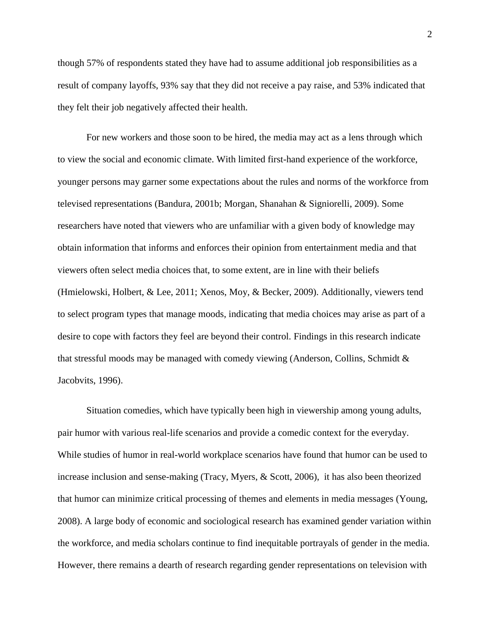though 57% of respondents stated they have had to assume additional job responsibilities as a result of company layoffs, 93% say that they did not receive a pay raise, and 53% indicated that they felt their job negatively affected their health.

For new workers and those soon to be hired, the media may act as a lens through which to view the social and economic climate. With limited first-hand experience of the workforce, younger persons may garner some expectations about the rules and norms of the workforce from televised representations (Bandura, 2001b; Morgan, Shanahan & Signiorelli, 2009). Some researchers have noted that viewers who are unfamiliar with a given body of knowledge may obtain information that informs and enforces their opinion from entertainment media and that viewers often select media choices that, to some extent, are in line with their beliefs (Hmielowski, Holbert, & Lee, 2011; Xenos, Moy, & Becker, 2009). Additionally, viewers tend to select program types that manage moods, indicating that media choices may arise as part of a desire to cope with factors they feel are beyond their control. Findings in this research indicate that stressful moods may be managed with comedy viewing (Anderson, Collins, Schmidt & Jacobvits, 1996).

Situation comedies, which have typically been high in viewership among young adults, pair humor with various real-life scenarios and provide a comedic context for the everyday. While studies of humor in real-world workplace scenarios have found that humor can be used to increase inclusion and sense-making (Tracy, Myers, & Scott, 2006), it has also been theorized that humor can minimize critical processing of themes and elements in media messages (Young, 2008). A large body of economic and sociological research has examined gender variation within the workforce, and media scholars continue to find inequitable portrayals of gender in the media. However, there remains a dearth of research regarding gender representations on television with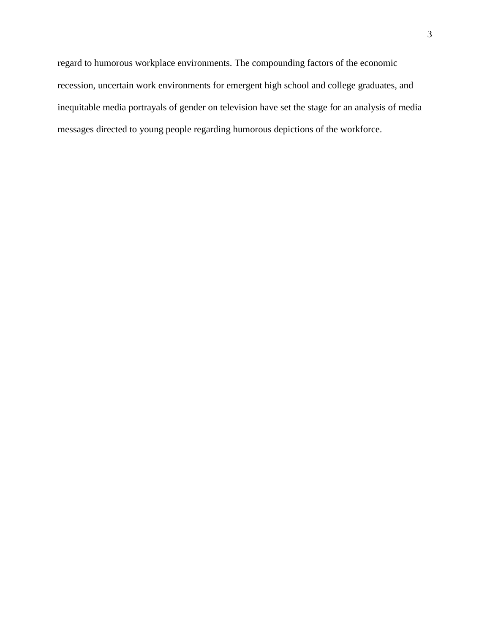regard to humorous workplace environments. The compounding factors of the economic recession, uncertain work environments for emergent high school and college graduates, and inequitable media portrayals of gender on television have set the stage for an analysis of media messages directed to young people regarding humorous depictions of the workforce.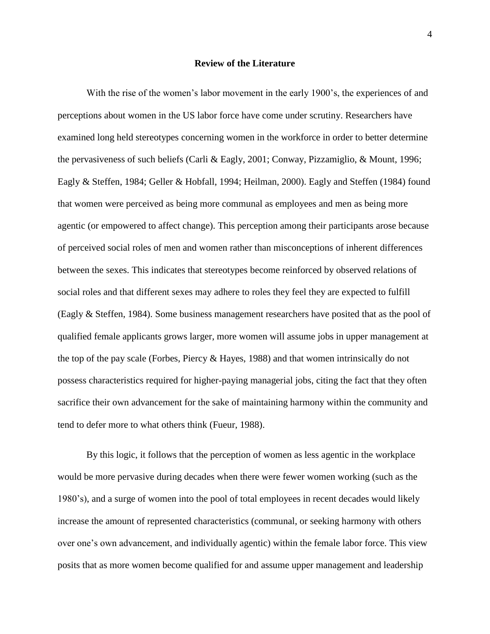#### **Review of the Literature**

With the rise of the women's labor movement in the early 1900's, the experiences of and perceptions about women in the US labor force have come under scrutiny. Researchers have examined long held stereotypes concerning women in the workforce in order to better determine the pervasiveness of such beliefs (Carli & Eagly, 2001; Conway, Pizzamiglio, & Mount, 1996; Eagly & Steffen, 1984; Geller & Hobfall, 1994; Heilman, 2000). Eagly and Steffen (1984) found that women were perceived as being more communal as employees and men as being more agentic (or empowered to affect change). This perception among their participants arose because of perceived social roles of men and women rather than misconceptions of inherent differences between the sexes. This indicates that stereotypes become reinforced by observed relations of social roles and that different sexes may adhere to roles they feel they are expected to fulfill (Eagly & Steffen, 1984). Some business management researchers have posited that as the pool of qualified female applicants grows larger, more women will assume jobs in upper management at the top of the pay scale (Forbes, Piercy & Hayes, 1988) and that women intrinsically do not possess characteristics required for higher-paying managerial jobs, citing the fact that they often sacrifice their own advancement for the sake of maintaining harmony within the community and tend to defer more to what others think (Fueur, 1988).

By this logic, it follows that the perception of women as less agentic in the workplace would be more pervasive during decades when there were fewer women working (such as the 1980's), and a surge of women into the pool of total employees in recent decades would likely increase the amount of represented characteristics (communal, or seeking harmony with others over one's own advancement, and individually agentic) within the female labor force. This view posits that as more women become qualified for and assume upper management and leadership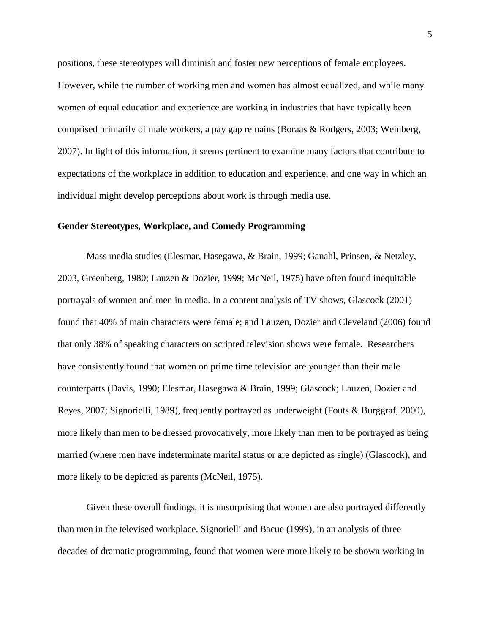positions, these stereotypes will diminish and foster new perceptions of female employees. However, while the number of working men and women has almost equalized, and while many women of equal education and experience are working in industries that have typically been comprised primarily of male workers, a pay gap remains (Boraas & Rodgers, 2003; Weinberg, 2007). In light of this information, it seems pertinent to examine many factors that contribute to expectations of the workplace in addition to education and experience, and one way in which an individual might develop perceptions about work is through media use.

#### **Gender Stereotypes, Workplace, and Comedy Programming**

Mass media studies (Elesmar, Hasegawa, & Brain, 1999; Ganahl, Prinsen, & Netzley, 2003, Greenberg, 1980; Lauzen & Dozier, 1999; McNeil, 1975) have often found inequitable portrayals of women and men in media. In a content analysis of TV shows, Glascock (2001) found that 40% of main characters were female; and Lauzen, Dozier and Cleveland (2006) found that only 38% of speaking characters on scripted television shows were female. Researchers have consistently found that women on prime time television are younger than their male counterparts (Davis, 1990; Elesmar, Hasegawa & Brain, 1999; Glascock; Lauzen, Dozier and Reyes, 2007; Signorielli, 1989), frequently portrayed as underweight (Fouts & Burggraf, 2000), more likely than men to be dressed provocatively, more likely than men to be portrayed as being married (where men have indeterminate marital status or are depicted as single) (Glascock), and more likely to be depicted as parents (McNeil, 1975).

Given these overall findings, it is unsurprising that women are also portrayed differently than men in the televised workplace. Signorielli and Bacue (1999), in an analysis of three decades of dramatic programming, found that women were more likely to be shown working in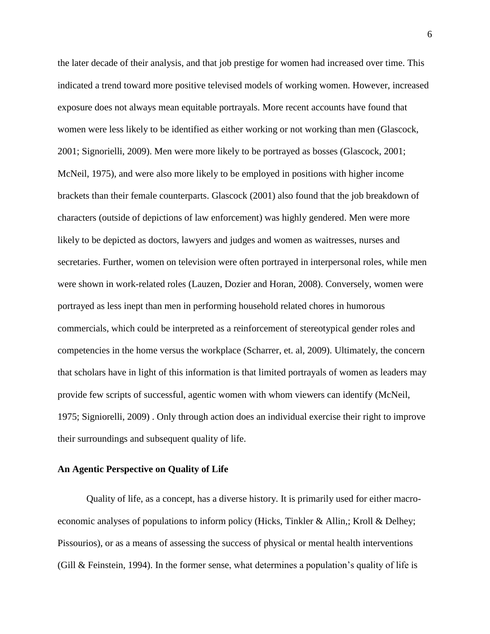the later decade of their analysis, and that job prestige for women had increased over time. This indicated a trend toward more positive televised models of working women. However, increased exposure does not always mean equitable portrayals. More recent accounts have found that women were less likely to be identified as either working or not working than men (Glascock, 2001; Signorielli, 2009). Men were more likely to be portrayed as bosses (Glascock, 2001; McNeil, 1975), and were also more likely to be employed in positions with higher income brackets than their female counterparts. Glascock (2001) also found that the job breakdown of characters (outside of depictions of law enforcement) was highly gendered. Men were more likely to be depicted as doctors, lawyers and judges and women as waitresses, nurses and secretaries. Further, women on television were often portrayed in interpersonal roles, while men were shown in work-related roles (Lauzen, Dozier and Horan, 2008). Conversely, women were portrayed as less inept than men in performing household related chores in humorous commercials, which could be interpreted as a reinforcement of stereotypical gender roles and competencies in the home versus the workplace (Scharrer, et. al, 2009). Ultimately, the concern that scholars have in light of this information is that limited portrayals of women as leaders may provide few scripts of successful, agentic women with whom viewers can identify (McNeil, 1975; Signiorelli, 2009) . Only through action does an individual exercise their right to improve their surroundings and subsequent quality of life.

#### **An Agentic Perspective on Quality of Life**

Quality of life, as a concept, has a diverse history. It is primarily used for either macroeconomic analyses of populations to inform policy (Hicks, Tinkler & Allin,; Kroll & Delhey; Pissourios), or as a means of assessing the success of physical or mental health interventions (Gill & Feinstein, 1994). In the former sense, what determines a population's quality of life is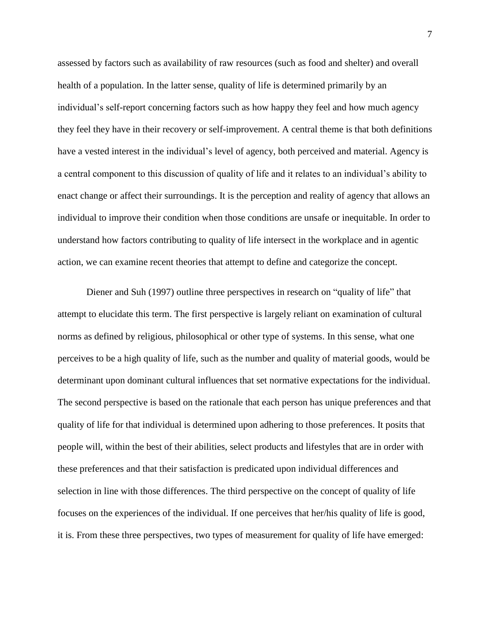assessed by factors such as availability of raw resources (such as food and shelter) and overall health of a population. In the latter sense, quality of life is determined primarily by an individual's self-report concerning factors such as how happy they feel and how much agency they feel they have in their recovery or self-improvement. A central theme is that both definitions have a vested interest in the individual's level of agency, both perceived and material. Agency is a central component to this discussion of quality of life and it relates to an individual's ability to enact change or affect their surroundings. It is the perception and reality of agency that allows an individual to improve their condition when those conditions are unsafe or inequitable. In order to understand how factors contributing to quality of life intersect in the workplace and in agentic action, we can examine recent theories that attempt to define and categorize the concept.

Diener and Suh (1997) outline three perspectives in research on "quality of life" that attempt to elucidate this term. The first perspective is largely reliant on examination of cultural norms as defined by religious, philosophical or other type of systems. In this sense, what one perceives to be a high quality of life, such as the number and quality of material goods, would be determinant upon dominant cultural influences that set normative expectations for the individual. The second perspective is based on the rationale that each person has unique preferences and that quality of life for that individual is determined upon adhering to those preferences. It posits that people will, within the best of their abilities, select products and lifestyles that are in order with these preferences and that their satisfaction is predicated upon individual differences and selection in line with those differences. The third perspective on the concept of quality of life focuses on the experiences of the individual. If one perceives that her/his quality of life is good, it is. From these three perspectives, two types of measurement for quality of life have emerged: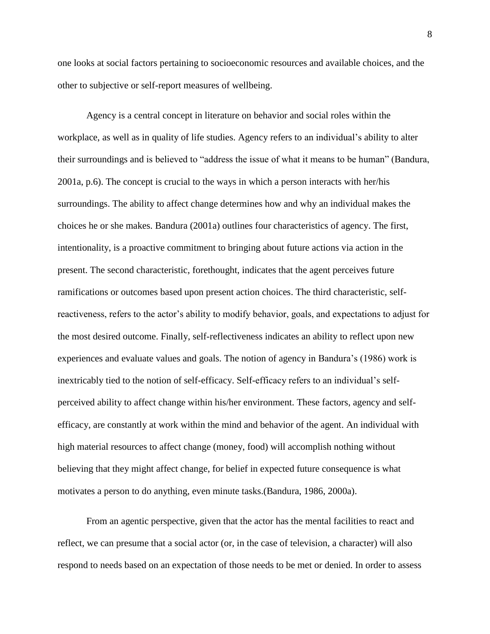one looks at social factors pertaining to socioeconomic resources and available choices, and the other to subjective or self-report measures of wellbeing.

Agency is a central concept in literature on behavior and social roles within the workplace, as well as in quality of life studies. Agency refers to an individual's ability to alter their surroundings and is believed to "address the issue of what it means to be human" (Bandura, 2001a, p.6). The concept is crucial to the ways in which a person interacts with her/his surroundings. The ability to affect change determines how and why an individual makes the choices he or she makes. Bandura (2001a) outlines four characteristics of agency. The first, intentionality, is a proactive commitment to bringing about future actions via action in the present. The second characteristic, forethought, indicates that the agent perceives future ramifications or outcomes based upon present action choices. The third characteristic, selfreactiveness, refers to the actor's ability to modify behavior, goals, and expectations to adjust for the most desired outcome. Finally, self-reflectiveness indicates an ability to reflect upon new experiences and evaluate values and goals. The notion of agency in Bandura's (1986) work is inextricably tied to the notion of self-efficacy. Self-efficacy refers to an individual's selfperceived ability to affect change within his/her environment. These factors, agency and selfefficacy, are constantly at work within the mind and behavior of the agent. An individual with high material resources to affect change (money, food) will accomplish nothing without believing that they might affect change, for belief in expected future consequence is what motivates a person to do anything, even minute tasks.(Bandura, 1986, 2000a).

From an agentic perspective, given that the actor has the mental facilities to react and reflect, we can presume that a social actor (or, in the case of television, a character) will also respond to needs based on an expectation of those needs to be met or denied. In order to assess

8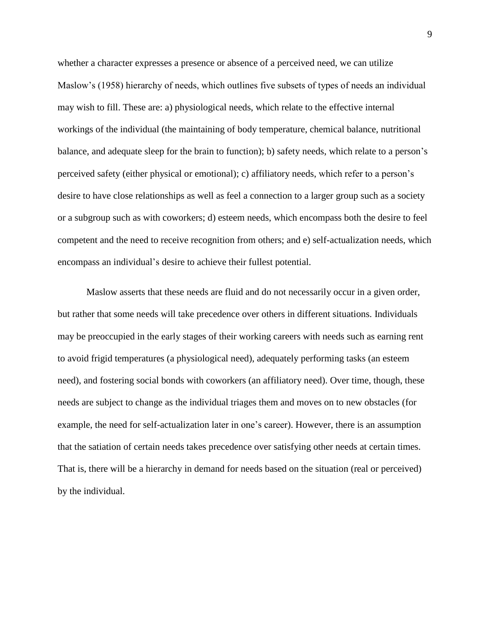whether a character expresses a presence or absence of a perceived need, we can utilize Maslow's (1958) hierarchy of needs, which outlines five subsets of types of needs an individual may wish to fill. These are: a) physiological needs, which relate to the effective internal workings of the individual (the maintaining of body temperature, chemical balance, nutritional balance, and adequate sleep for the brain to function); b) safety needs, which relate to a person's perceived safety (either physical or emotional); c) affiliatory needs, which refer to a person's desire to have close relationships as well as feel a connection to a larger group such as a society or a subgroup such as with coworkers; d) esteem needs, which encompass both the desire to feel competent and the need to receive recognition from others; and e) self-actualization needs, which encompass an individual's desire to achieve their fullest potential.

Maslow asserts that these needs are fluid and do not necessarily occur in a given order, but rather that some needs will take precedence over others in different situations. Individuals may be preoccupied in the early stages of their working careers with needs such as earning rent to avoid frigid temperatures (a physiological need), adequately performing tasks (an esteem need), and fostering social bonds with coworkers (an affiliatory need). Over time, though, these needs are subject to change as the individual triages them and moves on to new obstacles (for example, the need for self-actualization later in one's career). However, there is an assumption that the satiation of certain needs takes precedence over satisfying other needs at certain times. That is, there will be a hierarchy in demand for needs based on the situation (real or perceived) by the individual.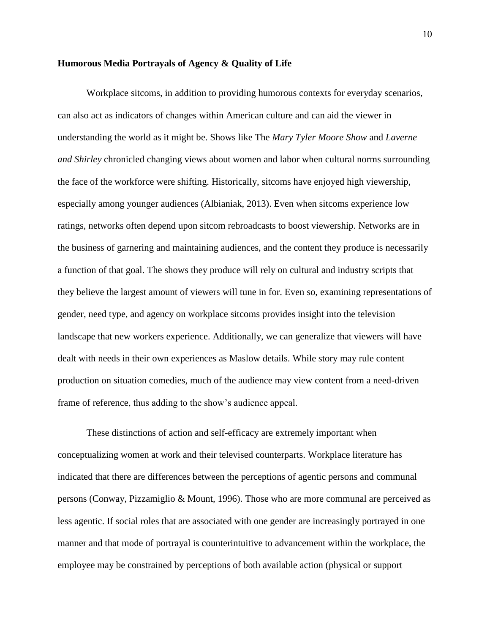#### **Humorous Media Portrayals of Agency & Quality of Life**

Workplace sitcoms, in addition to providing humorous contexts for everyday scenarios, can also act as indicators of changes within American culture and can aid the viewer in understanding the world as it might be. Shows like The *Mary Tyler Moore Show* and *Laverne and Shirley* chronicled changing views about women and labor when cultural norms surrounding the face of the workforce were shifting. Historically, sitcoms have enjoyed high viewership, especially among younger audiences (Albianiak, 2013). Even when sitcoms experience low ratings, networks often depend upon sitcom rebroadcasts to boost viewership. Networks are in the business of garnering and maintaining audiences, and the content they produce is necessarily a function of that goal. The shows they produce will rely on cultural and industry scripts that they believe the largest amount of viewers will tune in for. Even so, examining representations of gender, need type, and agency on workplace sitcoms provides insight into the television landscape that new workers experience. Additionally, we can generalize that viewers will have dealt with needs in their own experiences as Maslow details. While story may rule content production on situation comedies, much of the audience may view content from a need-driven frame of reference, thus adding to the show's audience appeal.

These distinctions of action and self-efficacy are extremely important when conceptualizing women at work and their televised counterparts. Workplace literature has indicated that there are differences between the perceptions of agentic persons and communal persons (Conway, Pizzamiglio & Mount, 1996). Those who are more communal are perceived as less agentic. If social roles that are associated with one gender are increasingly portrayed in one manner and that mode of portrayal is counterintuitive to advancement within the workplace, the employee may be constrained by perceptions of both available action (physical or support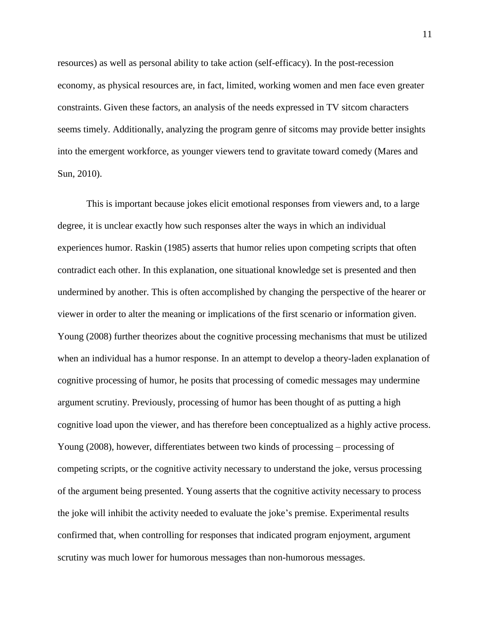resources) as well as personal ability to take action (self-efficacy). In the post-recession economy, as physical resources are, in fact, limited, working women and men face even greater constraints. Given these factors, an analysis of the needs expressed in TV sitcom characters seems timely. Additionally, analyzing the program genre of sitcoms may provide better insights into the emergent workforce, as younger viewers tend to gravitate toward comedy (Mares and Sun, 2010).

This is important because jokes elicit emotional responses from viewers and, to a large degree, it is unclear exactly how such responses alter the ways in which an individual experiences humor. Raskin (1985) asserts that humor relies upon competing scripts that often contradict each other. In this explanation, one situational knowledge set is presented and then undermined by another. This is often accomplished by changing the perspective of the hearer or viewer in order to alter the meaning or implications of the first scenario or information given. Young (2008) further theorizes about the cognitive processing mechanisms that must be utilized when an individual has a humor response. In an attempt to develop a theory-laden explanation of cognitive processing of humor, he posits that processing of comedic messages may undermine argument scrutiny. Previously, processing of humor has been thought of as putting a high cognitive load upon the viewer, and has therefore been conceptualized as a highly active process. Young (2008), however, differentiates between two kinds of processing – processing of competing scripts, or the cognitive activity necessary to understand the joke, versus processing of the argument being presented. Young asserts that the cognitive activity necessary to process the joke will inhibit the activity needed to evaluate the joke's premise. Experimental results confirmed that, when controlling for responses that indicated program enjoyment, argument scrutiny was much lower for humorous messages than non-humorous messages.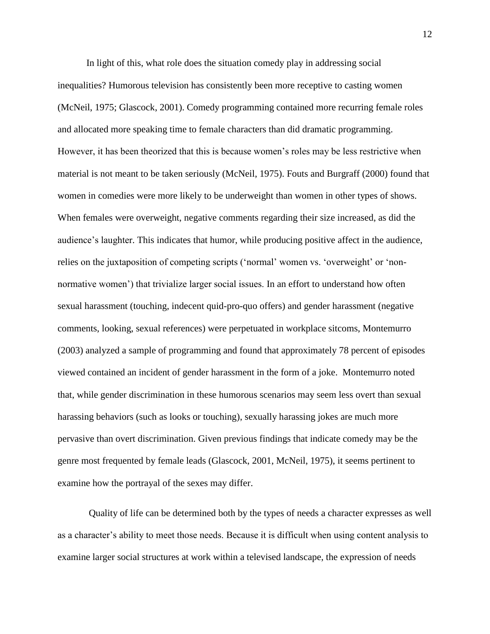In light of this, what role does the situation comedy play in addressing social inequalities? Humorous television has consistently been more receptive to casting women (McNeil, 1975; Glascock, 2001). Comedy programming contained more recurring female roles and allocated more speaking time to female characters than did dramatic programming. However, it has been theorized that this is because women's roles may be less restrictive when material is not meant to be taken seriously (McNeil, 1975). Fouts and Burgraff (2000) found that women in comedies were more likely to be underweight than women in other types of shows. When females were overweight, negative comments regarding their size increased, as did the audience's laughter. This indicates that humor, while producing positive affect in the audience, relies on the juxtaposition of competing scripts ('normal' women vs. 'overweight' or 'nonnormative women') that trivialize larger social issues. In an effort to understand how often sexual harassment (touching, indecent quid-pro-quo offers) and gender harassment (negative comments, looking, sexual references) were perpetuated in workplace sitcoms, Montemurro (2003) analyzed a sample of programming and found that approximately 78 percent of episodes viewed contained an incident of gender harassment in the form of a joke. Montemurro noted that, while gender discrimination in these humorous scenarios may seem less overt than sexual harassing behaviors (such as looks or touching), sexually harassing jokes are much more pervasive than overt discrimination. Given previous findings that indicate comedy may be the genre most frequented by female leads (Glascock, 2001, McNeil, 1975), it seems pertinent to examine how the portrayal of the sexes may differ.

Quality of life can be determined both by the types of needs a character expresses as well as a character's ability to meet those needs. Because it is difficult when using content analysis to examine larger social structures at work within a televised landscape, the expression of needs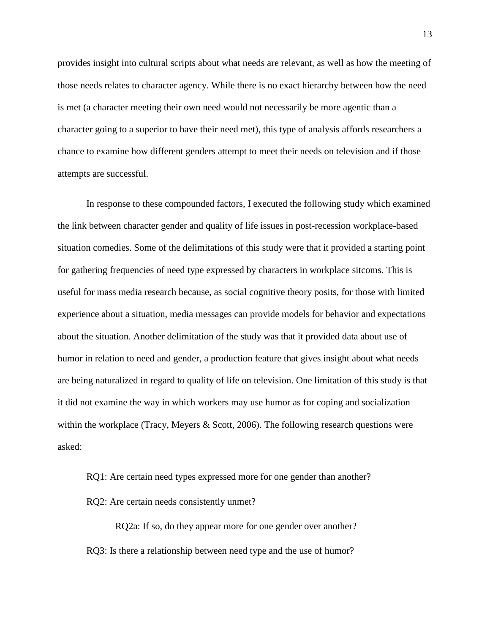provides insight into cultural scripts about what needs are relevant, as well as how the meeting of those needs relates to character agency. While there is no exact hierarchy between how the need is met (a character meeting their own need would not necessarily be more agentic than a character going to a superior to have their need met), this type of analysis affords researchers a chance to examine how different genders attempt to meet their needs on television and if those attempts are successful.

In response to these compounded factors, I executed the following study which examined the link between character gender and quality of life issues in post-recession workplace-based situation comedies. Some of the delimitations of this study were that it provided a starting point for gathering frequencies of need type expressed by characters in workplace sitcoms. This is useful for mass media research because, as social cognitive theory posits, for those with limited experience about a situation, media messages can provide models for behavior and expectations about the situation. Another delimitation of the study was that it provided data about use of humor in relation to need and gender, a production feature that gives insight about what needs are being naturalized in regard to quality of life on television. One limitation of this study is that it did not examine the way in which workers may use humor as for coping and socialization within the workplace (Tracy, Meyers  $& Scott, 2006$ ). The following research questions were asked:

RQ1: Are certain need types expressed more for one gender than another? RQ2: Are certain needs consistently unmet?

RQ2a: If so, do they appear more for one gender over another? RQ3: Is there a relationship between need type and the use of humor?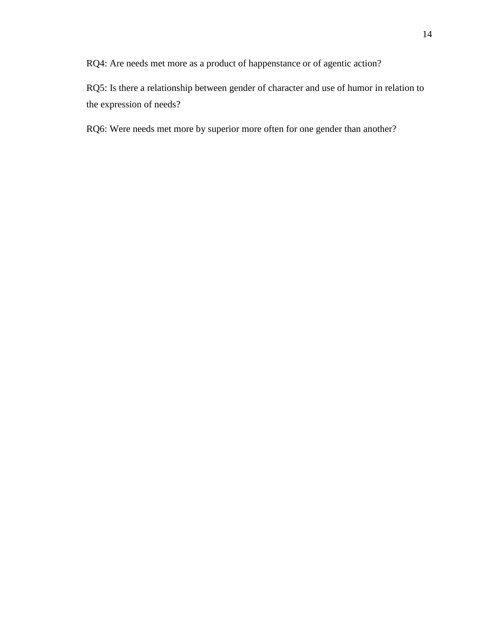RQ4: Are needs met more as a product of happenstance or of agentic action?

RQ5: Is there a relationship between gender of character and use of humor in relation to the expression of needs?

RQ6: Were needs met more by superior more often for one gender than another?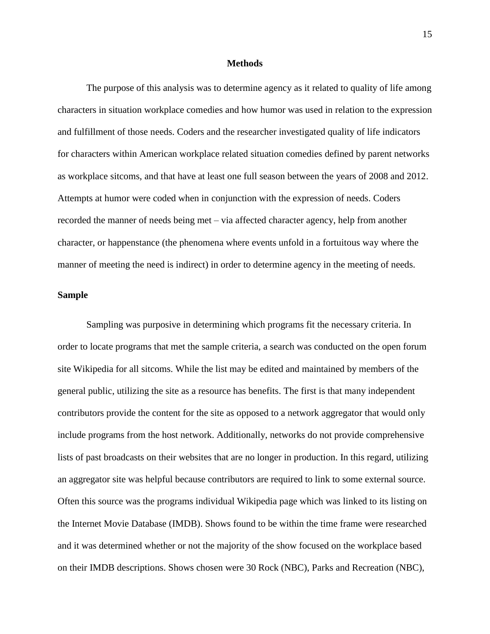#### **Methods**

The purpose of this analysis was to determine agency as it related to quality of life among characters in situation workplace comedies and how humor was used in relation to the expression and fulfillment of those needs. Coders and the researcher investigated quality of life indicators for characters within American workplace related situation comedies defined by parent networks as workplace sitcoms, and that have at least one full season between the years of 2008 and 2012. Attempts at humor were coded when in conjunction with the expression of needs. Coders recorded the manner of needs being met – via affected character agency, help from another character, or happenstance (the phenomena where events unfold in a fortuitous way where the manner of meeting the need is indirect) in order to determine agency in the meeting of needs.

#### **Sample**

Sampling was purposive in determining which programs fit the necessary criteria. In order to locate programs that met the sample criteria, a search was conducted on the open forum site Wikipedia for all sitcoms. While the list may be edited and maintained by members of the general public, utilizing the site as a resource has benefits. The first is that many independent contributors provide the content for the site as opposed to a network aggregator that would only include programs from the host network. Additionally, networks do not provide comprehensive lists of past broadcasts on their websites that are no longer in production. In this regard, utilizing an aggregator site was helpful because contributors are required to link to some external source. Often this source was the programs individual Wikipedia page which was linked to its listing on the Internet Movie Database (IMDB). Shows found to be within the time frame were researched and it was determined whether or not the majority of the show focused on the workplace based on their IMDB descriptions. Shows chosen were 30 Rock (NBC), Parks and Recreation (NBC),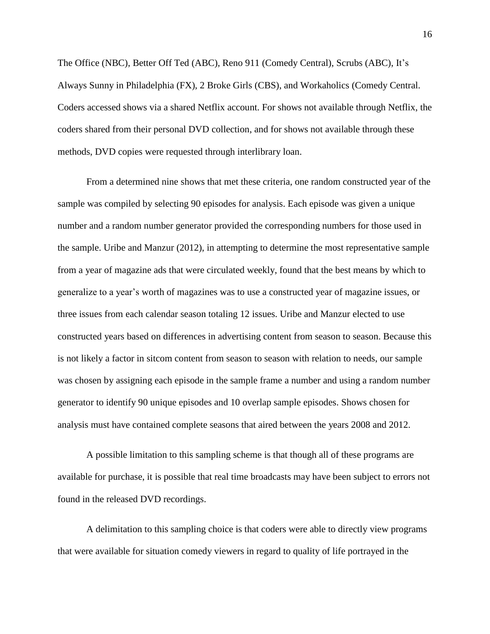The Office (NBC), Better Off Ted (ABC), Reno 911 (Comedy Central), Scrubs (ABC), It's Always Sunny in Philadelphia (FX), 2 Broke Girls (CBS), and Workaholics (Comedy Central. Coders accessed shows via a shared Netflix account. For shows not available through Netflix, the coders shared from their personal DVD collection, and for shows not available through these methods, DVD copies were requested through interlibrary loan.

From a determined nine shows that met these criteria, one random constructed year of the sample was compiled by selecting 90 episodes for analysis. Each episode was given a unique number and a random number generator provided the corresponding numbers for those used in the sample. Uribe and Manzur (2012), in attempting to determine the most representative sample from a year of magazine ads that were circulated weekly, found that the best means by which to generalize to a year's worth of magazines was to use a constructed year of magazine issues, or three issues from each calendar season totaling 12 issues. Uribe and Manzur elected to use constructed years based on differences in advertising content from season to season. Because this is not likely a factor in sitcom content from season to season with relation to needs, our sample was chosen by assigning each episode in the sample frame a number and using a random number generator to identify 90 unique episodes and 10 overlap sample episodes. Shows chosen for analysis must have contained complete seasons that aired between the years 2008 and 2012.

A possible limitation to this sampling scheme is that though all of these programs are available for purchase, it is possible that real time broadcasts may have been subject to errors not found in the released DVD recordings.

A delimitation to this sampling choice is that coders were able to directly view programs that were available for situation comedy viewers in regard to quality of life portrayed in the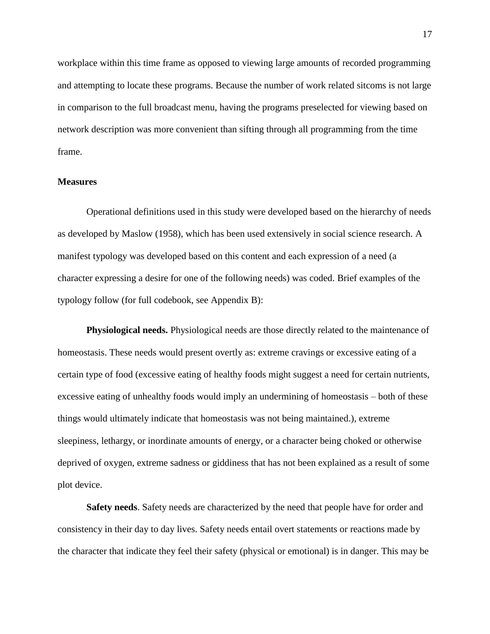workplace within this time frame as opposed to viewing large amounts of recorded programming and attempting to locate these programs. Because the number of work related sitcoms is not large in comparison to the full broadcast menu, having the programs preselected for viewing based on network description was more convenient than sifting through all programming from the time frame.

#### **Measures**

Operational definitions used in this study were developed based on the hierarchy of needs as developed by Maslow (1958), which has been used extensively in social science research. A manifest typology was developed based on this content and each expression of a need (a character expressing a desire for one of the following needs) was coded. Brief examples of the typology follow (for full codebook, see Appendix B):

**Physiological needs.** Physiological needs are those directly related to the maintenance of homeostasis. These needs would present overtly as: extreme cravings or excessive eating of a certain type of food (excessive eating of healthy foods might suggest a need for certain nutrients, excessive eating of unhealthy foods would imply an undermining of homeostasis – both of these things would ultimately indicate that homeostasis was not being maintained.), extreme sleepiness, lethargy, or inordinate amounts of energy, or a character being choked or otherwise deprived of oxygen, extreme sadness or giddiness that has not been explained as a result of some plot device.

**Safety needs**. Safety needs are characterized by the need that people have for order and consistency in their day to day lives. Safety needs entail overt statements or reactions made by the character that indicate they feel their safety (physical or emotional) is in danger. This may be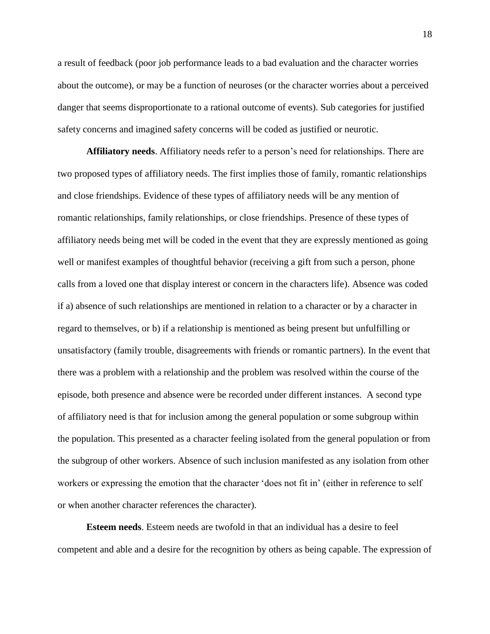a result of feedback (poor job performance leads to a bad evaluation and the character worries about the outcome), or may be a function of neuroses (or the character worries about a perceived danger that seems disproportionate to a rational outcome of events). Sub categories for justified safety concerns and imagined safety concerns will be coded as justified or neurotic.

**Affiliatory needs**. Affiliatory needs refer to a person's need for relationships. There are two proposed types of affiliatory needs. The first implies those of family, romantic relationships and close friendships. Evidence of these types of affiliatory needs will be any mention of romantic relationships, family relationships, or close friendships. Presence of these types of affiliatory needs being met will be coded in the event that they are expressly mentioned as going well or manifest examples of thoughtful behavior (receiving a gift from such a person, phone calls from a loved one that display interest or concern in the characters life). Absence was coded if a) absence of such relationships are mentioned in relation to a character or by a character in regard to themselves, or b) if a relationship is mentioned as being present but unfulfilling or unsatisfactory (family trouble, disagreements with friends or romantic partners). In the event that there was a problem with a relationship and the problem was resolved within the course of the episode, both presence and absence were be recorded under different instances. A second type of affiliatory need is that for inclusion among the general population or some subgroup within the population. This presented as a character feeling isolated from the general population or from the subgroup of other workers. Absence of such inclusion manifested as any isolation from other workers or expressing the emotion that the character 'does not fit in' (either in reference to self or when another character references the character).

**Esteem needs**. Esteem needs are twofold in that an individual has a desire to feel competent and able and a desire for the recognition by others as being capable. The expression of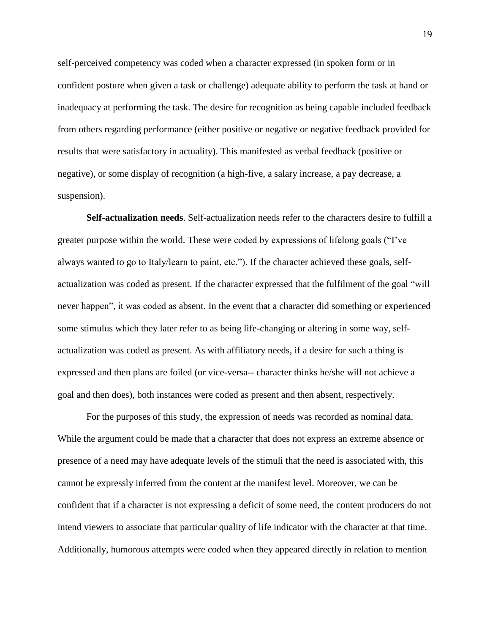self-perceived competency was coded when a character expressed (in spoken form or in confident posture when given a task or challenge) adequate ability to perform the task at hand or inadequacy at performing the task. The desire for recognition as being capable included feedback from others regarding performance (either positive or negative or negative feedback provided for results that were satisfactory in actuality). This manifested as verbal feedback (positive or negative), or some display of recognition (a high-five, a salary increase, a pay decrease, a suspension).

**Self-actualization needs**. Self-actualization needs refer to the characters desire to fulfill a greater purpose within the world. These were coded by expressions of lifelong goals ("I've always wanted to go to Italy/learn to paint, etc."). If the character achieved these goals, selfactualization was coded as present. If the character expressed that the fulfilment of the goal "will never happen", it was coded as absent. In the event that a character did something or experienced some stimulus which they later refer to as being life-changing or altering in some way, selfactualization was coded as present. As with affiliatory needs, if a desire for such a thing is expressed and then plans are foiled (or vice-versa-- character thinks he/she will not achieve a goal and then does), both instances were coded as present and then absent, respectively.

For the purposes of this study, the expression of needs was recorded as nominal data. While the argument could be made that a character that does not express an extreme absence or presence of a need may have adequate levels of the stimuli that the need is associated with, this cannot be expressly inferred from the content at the manifest level. Moreover, we can be confident that if a character is not expressing a deficit of some need, the content producers do not intend viewers to associate that particular quality of life indicator with the character at that time. Additionally, humorous attempts were coded when they appeared directly in relation to mention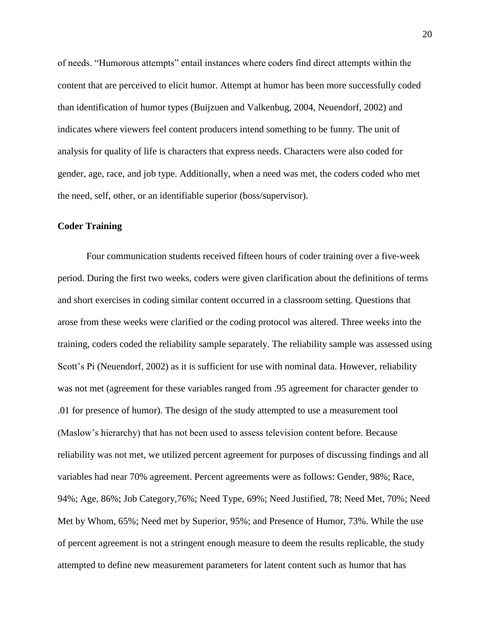of needs. "Humorous attempts" entail instances where coders find direct attempts within the content that are perceived to elicit humor. Attempt at humor has been more successfully coded than identification of humor types (Buijzuen and Valkenbug, 2004, Neuendorf, 2002) and indicates where viewers feel content producers intend something to be funny. The unit of analysis for quality of life is characters that express needs. Characters were also coded for gender, age, race, and job type. Additionally, when a need was met, the coders coded who met the need, self, other, or an identifiable superior (boss/supervisor).

#### **Coder Training**

Four communication students received fifteen hours of coder training over a five-week period. During the first two weeks, coders were given clarification about the definitions of terms and short exercises in coding similar content occurred in a classroom setting. Questions that arose from these weeks were clarified or the coding protocol was altered. Three weeks into the training, coders coded the reliability sample separately. The reliability sample was assessed using Scott's Pi (Neuendorf, 2002) as it is sufficient for use with nominal data. However, reliability was not met (agreement for these variables ranged from .95 agreement for character gender to .01 for presence of humor). The design of the study attempted to use a measurement tool (Maslow's hierarchy) that has not been used to assess television content before. Because reliability was not met, we utilized percent agreement for purposes of discussing findings and all variables had near 70% agreement. Percent agreements were as follows: Gender, 98%; Race, 94%; Age, 86%; Job Category,76%; Need Type, 69%; Need Justified, 78; Need Met, 70%; Need Met by Whom, 65%; Need met by Superior, 95%; and Presence of Humor, 73%. While the use of percent agreement is not a stringent enough measure to deem the results replicable, the study attempted to define new measurement parameters for latent content such as humor that has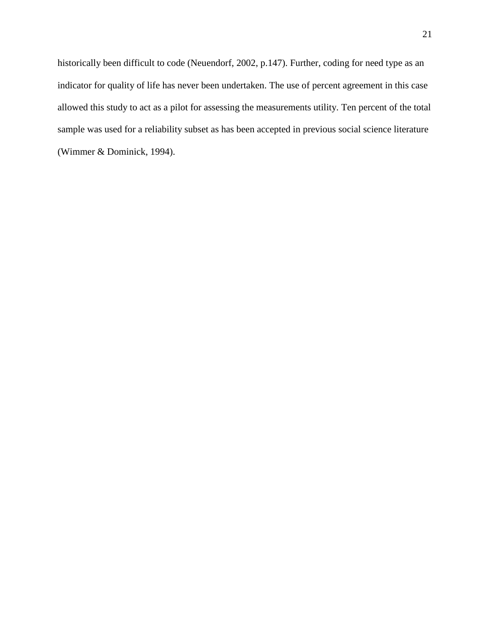historically been difficult to code (Neuendorf, 2002, p.147). Further, coding for need type as an indicator for quality of life has never been undertaken. The use of percent agreement in this case allowed this study to act as a pilot for assessing the measurements utility. Ten percent of the total sample was used for a reliability subset as has been accepted in previous social science literature (Wimmer & Dominick, 1994).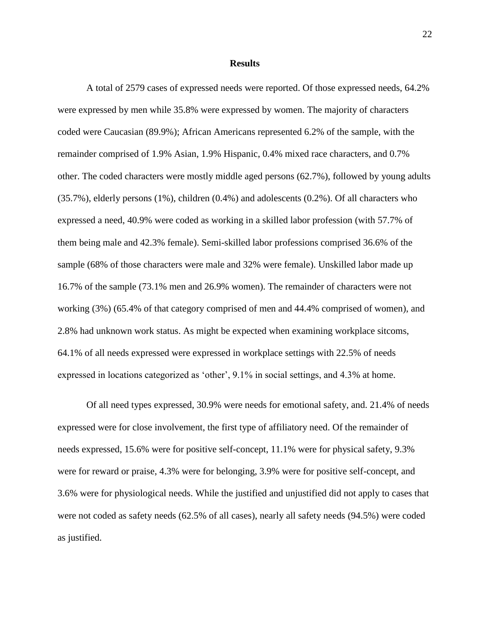#### **Results**

A total of 2579 cases of expressed needs were reported. Of those expressed needs, 64.2% were expressed by men while 35.8% were expressed by women. The majority of characters coded were Caucasian (89.9%); African Americans represented 6.2% of the sample, with the remainder comprised of 1.9% Asian, 1.9% Hispanic, 0.4% mixed race characters, and 0.7% other. The coded characters were mostly middle aged persons (62.7%), followed by young adults (35.7%), elderly persons (1%), children (0.4%) and adolescents (0.2%). Of all characters who expressed a need, 40.9% were coded as working in a skilled labor profession (with 57.7% of them being male and 42.3% female). Semi-skilled labor professions comprised 36.6% of the sample (68% of those characters were male and 32% were female). Unskilled labor made up 16.7% of the sample (73.1% men and 26.9% women). The remainder of characters were not working (3%) (65.4% of that category comprised of men and 44.4% comprised of women), and 2.8% had unknown work status. As might be expected when examining workplace sitcoms, 64.1% of all needs expressed were expressed in workplace settings with 22.5% of needs expressed in locations categorized as 'other', 9.1% in social settings, and 4.3% at home.

Of all need types expressed, 30.9% were needs for emotional safety, and. 21.4% of needs expressed were for close involvement, the first type of affiliatory need. Of the remainder of needs expressed, 15.6% were for positive self-concept, 11.1% were for physical safety, 9.3% were for reward or praise, 4.3% were for belonging, 3.9% were for positive self-concept, and 3.6% were for physiological needs. While the justified and unjustified did not apply to cases that were not coded as safety needs (62.5% of all cases), nearly all safety needs (94.5%) were coded as justified.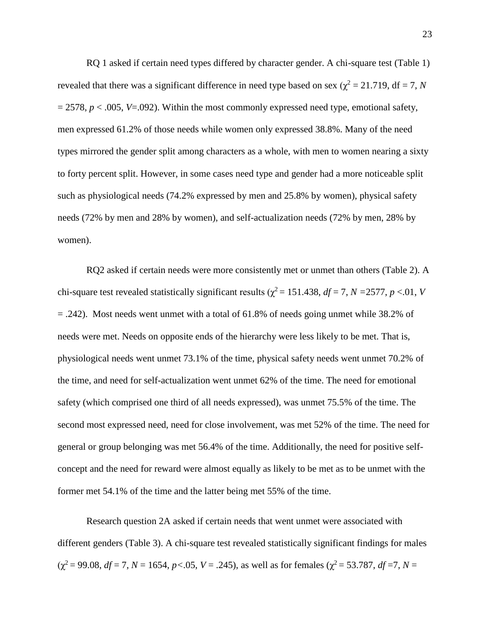RQ 1 asked if certain need types differed by character gender. A chi-square test (Table 1) revealed that there was a significant difference in need type based on sex ( $\chi^2 = 21.719$ , df = 7, *N*  $= 2578$ ,  $p < .005$ ,  $V = .092$ ). Within the most commonly expressed need type, emotional safety, men expressed 61.2% of those needs while women only expressed 38.8%. Many of the need types mirrored the gender split among characters as a whole, with men to women nearing a sixty to forty percent split. However, in some cases need type and gender had a more noticeable split such as physiological needs (74.2% expressed by men and 25.8% by women), physical safety needs (72% by men and 28% by women), and self-actualization needs (72% by men, 28% by women).

RQ2 asked if certain needs were more consistently met or unmet than others (Table 2). A chi-square test revealed statistically significant results ( $\chi^2$  = 151.438, *df* = 7, *N* = 2577, *p* <.01, *V* = .242). Most needs went unmet with a total of 61.8% of needs going unmet while 38.2% of needs were met. Needs on opposite ends of the hierarchy were less likely to be met. That is, physiological needs went unmet 73.1% of the time, physical safety needs went unmet 70.2% of the time, and need for self-actualization went unmet 62% of the time. The need for emotional safety (which comprised one third of all needs expressed), was unmet 75.5% of the time. The second most expressed need, need for close involvement, was met 52% of the time. The need for general or group belonging was met 56.4% of the time. Additionally, the need for positive selfconcept and the need for reward were almost equally as likely to be met as to be unmet with the former met 54.1% of the time and the latter being met 55% of the time.

Research question 2A asked if certain needs that went unmet were associated with different genders (Table 3). A chi-square test revealed statistically significant findings for males  $(\chi^2 = 99.08, df = 7, N = 1654, p < .05, V = .245)$ , as well as for females  $(\chi^2 = 53.787, df = 7, N = .05)$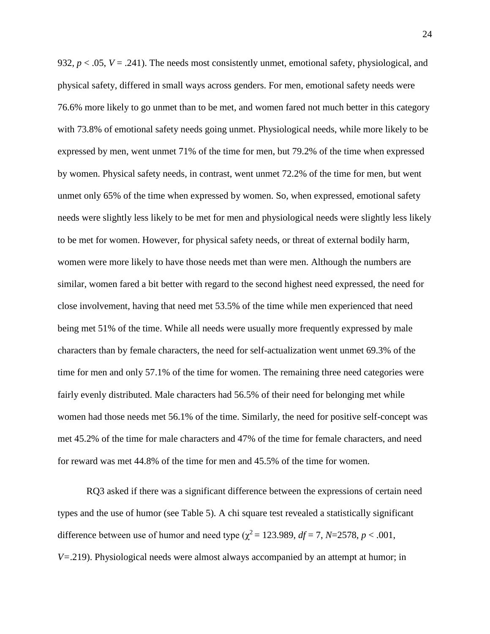932,  $p < .05$ ,  $V = .241$ ). The needs most consistently unmet, emotional safety, physiological, and physical safety, differed in small ways across genders. For men, emotional safety needs were 76.6% more likely to go unmet than to be met, and women fared not much better in this category with 73.8% of emotional safety needs going unmet. Physiological needs, while more likely to be expressed by men, went unmet 71% of the time for men, but 79.2% of the time when expressed by women. Physical safety needs, in contrast, went unmet 72.2% of the time for men, but went unmet only 65% of the time when expressed by women. So, when expressed, emotional safety needs were slightly less likely to be met for men and physiological needs were slightly less likely to be met for women. However, for physical safety needs, or threat of external bodily harm, women were more likely to have those needs met than were men. Although the numbers are similar, women fared a bit better with regard to the second highest need expressed, the need for close involvement, having that need met 53.5% of the time while men experienced that need being met 51% of the time. While all needs were usually more frequently expressed by male characters than by female characters, the need for self-actualization went unmet 69.3% of the time for men and only 57.1% of the time for women. The remaining three need categories were fairly evenly distributed. Male characters had 56.5% of their need for belonging met while women had those needs met 56.1% of the time. Similarly, the need for positive self-concept was met 45.2% of the time for male characters and 47% of the time for female characters, and need for reward was met 44.8% of the time for men and 45.5% of the time for women.

RQ3 asked if there was a significant difference between the expressions of certain need types and the use of humor (see Table 5). A chi square test revealed a statistically significant difference between use of humor and need type ( $\chi^2$  = 123.989, *df* = 7, *N*=2578, *p* < .001, *V=*.219). Physiological needs were almost always accompanied by an attempt at humor; in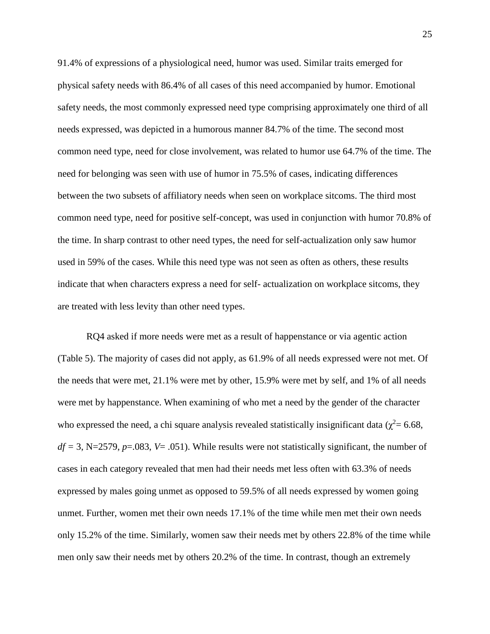91.4% of expressions of a physiological need, humor was used. Similar traits emerged for physical safety needs with 86.4% of all cases of this need accompanied by humor. Emotional safety needs, the most commonly expressed need type comprising approximately one third of all needs expressed, was depicted in a humorous manner 84.7% of the time. The second most common need type, need for close involvement, was related to humor use 64.7% of the time. The need for belonging was seen with use of humor in 75.5% of cases, indicating differences between the two subsets of affiliatory needs when seen on workplace sitcoms. The third most common need type, need for positive self-concept, was used in conjunction with humor 70.8% of the time. In sharp contrast to other need types, the need for self-actualization only saw humor used in 59% of the cases. While this need type was not seen as often as others, these results indicate that when characters express a need for self- actualization on workplace sitcoms, they are treated with less levity than other need types.

RQ4 asked if more needs were met as a result of happenstance or via agentic action (Table 5). The majority of cases did not apply, as 61.9% of all needs expressed were not met. Of the needs that were met, 21.1% were met by other, 15.9% were met by self, and 1% of all needs were met by happenstance. When examining of who met a need by the gender of the character who expressed the need, a chi square analysis revealed statistically insignificant data ( $\chi^2$  = 6.68,  $df = 3$ , N=2579,  $p = .083$ ,  $V = .051$ ). While results were not statistically significant, the number of cases in each category revealed that men had their needs met less often with 63.3% of needs expressed by males going unmet as opposed to 59.5% of all needs expressed by women going unmet. Further, women met their own needs 17.1% of the time while men met their own needs only 15.2% of the time. Similarly, women saw their needs met by others 22.8% of the time while men only saw their needs met by others 20.2% of the time. In contrast, though an extremely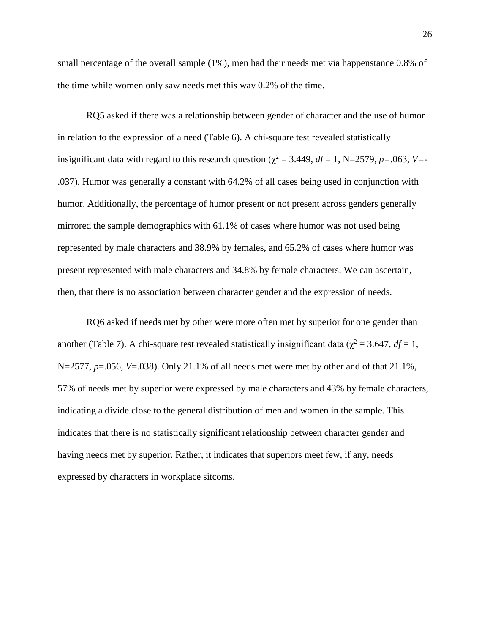small percentage of the overall sample (1%), men had their needs met via happenstance 0.8% of the time while women only saw needs met this way 0.2% of the time.

RQ5 asked if there was a relationship between gender of character and the use of humor in relation to the expression of a need (Table 6). A chi-square test revealed statistically insignificant data with regard to this research question ( $\chi^2$  = 3.449, *df* = 1, N=2579, *p*=.063, *V*=-.037). Humor was generally a constant with 64.2% of all cases being used in conjunction with humor. Additionally, the percentage of humor present or not present across genders generally mirrored the sample demographics with 61.1% of cases where humor was not used being represented by male characters and 38.9% by females, and 65.2% of cases where humor was present represented with male characters and 34.8% by female characters. We can ascertain, then, that there is no association between character gender and the expression of needs.

RQ6 asked if needs met by other were more often met by superior for one gender than another (Table 7). A chi-square test revealed statistically insignificant data ( $\chi^2 = 3.647$ ,  $df = 1$ , N=2577, *p*=.056, *V*=.038). Only 21.1% of all needs met were met by other and of that 21.1%, 57% of needs met by superior were expressed by male characters and 43% by female characters, indicating a divide close to the general distribution of men and women in the sample. This indicates that there is no statistically significant relationship between character gender and having needs met by superior. Rather, it indicates that superiors meet few, if any, needs expressed by characters in workplace sitcoms.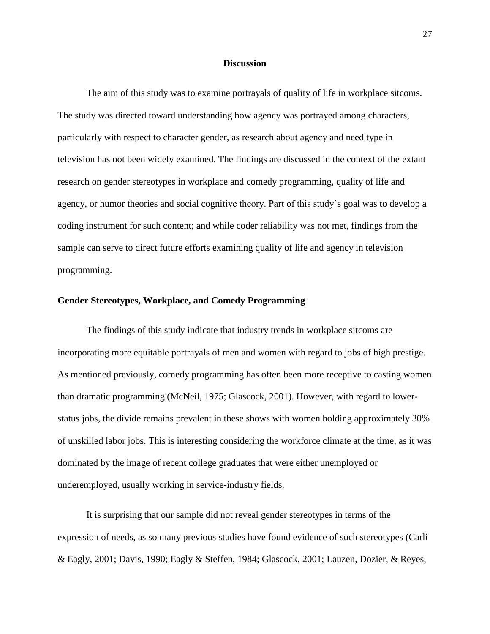#### **Discussion**

The aim of this study was to examine portrayals of quality of life in workplace sitcoms. The study was directed toward understanding how agency was portrayed among characters, particularly with respect to character gender, as research about agency and need type in television has not been widely examined. The findings are discussed in the context of the extant research on gender stereotypes in workplace and comedy programming, quality of life and agency, or humor theories and social cognitive theory. Part of this study's goal was to develop a coding instrument for such content; and while coder reliability was not met, findings from the sample can serve to direct future efforts examining quality of life and agency in television programming.

#### **Gender Stereotypes, Workplace, and Comedy Programming**

The findings of this study indicate that industry trends in workplace sitcoms are incorporating more equitable portrayals of men and women with regard to jobs of high prestige. As mentioned previously, comedy programming has often been more receptive to casting women than dramatic programming (McNeil, 1975; Glascock, 2001). However, with regard to lowerstatus jobs, the divide remains prevalent in these shows with women holding approximately 30% of unskilled labor jobs. This is interesting considering the workforce climate at the time, as it was dominated by the image of recent college graduates that were either unemployed or underemployed, usually working in service-industry fields.

It is surprising that our sample did not reveal gender stereotypes in terms of the expression of needs, as so many previous studies have found evidence of such stereotypes (Carli & Eagly, 2001; Davis, 1990; Eagly & Steffen, 1984; Glascock, 2001; Lauzen, Dozier, & Reyes,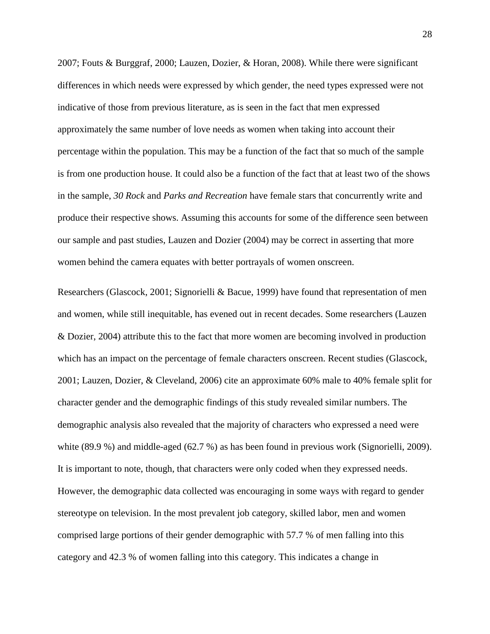2007; Fouts & Burggraf, 2000; Lauzen, Dozier, & Horan, 2008). While there were significant differences in which needs were expressed by which gender, the need types expressed were not indicative of those from previous literature, as is seen in the fact that men expressed approximately the same number of love needs as women when taking into account their percentage within the population. This may be a function of the fact that so much of the sample is from one production house. It could also be a function of the fact that at least two of the shows in the sample, *30 Rock* and *Parks and Recreation* have female stars that concurrently write and produce their respective shows. Assuming this accounts for some of the difference seen between our sample and past studies, Lauzen and Dozier (2004) may be correct in asserting that more women behind the camera equates with better portrayals of women onscreen.

Researchers (Glascock, 2001; Signorielli & Bacue, 1999) have found that representation of men and women, while still inequitable, has evened out in recent decades. Some researchers (Lauzen & Dozier, 2004) attribute this to the fact that more women are becoming involved in production which has an impact on the percentage of female characters onscreen. Recent studies (Glascock, 2001; Lauzen, Dozier, & Cleveland, 2006) cite an approximate 60% male to 40% female split for character gender and the demographic findings of this study revealed similar numbers. The demographic analysis also revealed that the majority of characters who expressed a need were white (89.9 %) and middle-aged (62.7 %) as has been found in previous work (Signorielli, 2009). It is important to note, though, that characters were only coded when they expressed needs. However, the demographic data collected was encouraging in some ways with regard to gender stereotype on television. In the most prevalent job category, skilled labor, men and women comprised large portions of their gender demographic with 57.7 % of men falling into this category and 42.3 % of women falling into this category. This indicates a change in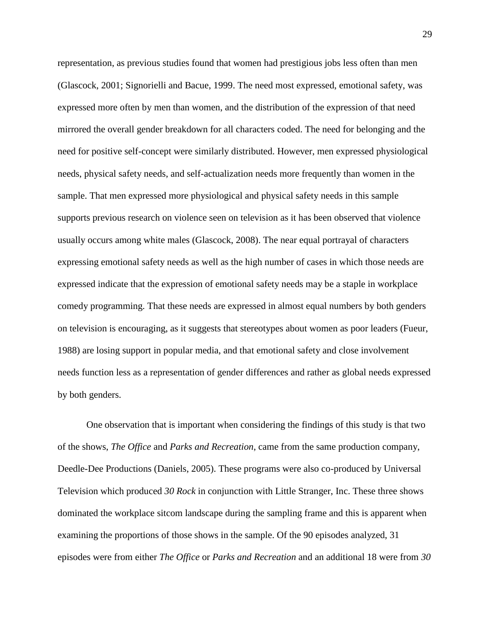representation, as previous studies found that women had prestigious jobs less often than men (Glascock, 2001; Signorielli and Bacue, 1999. The need most expressed, emotional safety, was expressed more often by men than women, and the distribution of the expression of that need mirrored the overall gender breakdown for all characters coded. The need for belonging and the need for positive self-concept were similarly distributed. However, men expressed physiological needs, physical safety needs, and self-actualization needs more frequently than women in the sample. That men expressed more physiological and physical safety needs in this sample supports previous research on violence seen on television as it has been observed that violence usually occurs among white males (Glascock, 2008). The near equal portrayal of characters expressing emotional safety needs as well as the high number of cases in which those needs are expressed indicate that the expression of emotional safety needs may be a staple in workplace comedy programming. That these needs are expressed in almost equal numbers by both genders on television is encouraging, as it suggests that stereotypes about women as poor leaders (Fueur, 1988) are losing support in popular media, and that emotional safety and close involvement needs function less as a representation of gender differences and rather as global needs expressed by both genders.

One observation that is important when considering the findings of this study is that two of the shows, *The Office* and *Parks and Recreation*, came from the same production company, Deedle-Dee Productions (Daniels, 2005). These programs were also co-produced by Universal Television which produced *30 Rock* in conjunction with Little Stranger, Inc. These three shows dominated the workplace sitcom landscape during the sampling frame and this is apparent when examining the proportions of those shows in the sample. Of the 90 episodes analyzed, 31 episodes were from either *The Office* or *Parks and Recreation* and an additional 18 were from *30*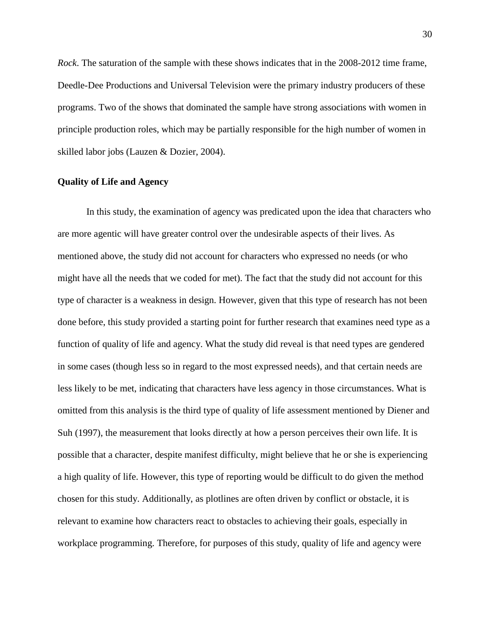*Rock*. The saturation of the sample with these shows indicates that in the 2008-2012 time frame, Deedle-Dee Productions and Universal Television were the primary industry producers of these programs. Two of the shows that dominated the sample have strong associations with women in principle production roles, which may be partially responsible for the high number of women in skilled labor jobs (Lauzen & Dozier, 2004).

#### **Quality of Life and Agency**

In this study, the examination of agency was predicated upon the idea that characters who are more agentic will have greater control over the undesirable aspects of their lives. As mentioned above, the study did not account for characters who expressed no needs (or who might have all the needs that we coded for met). The fact that the study did not account for this type of character is a weakness in design. However, given that this type of research has not been done before, this study provided a starting point for further research that examines need type as a function of quality of life and agency. What the study did reveal is that need types are gendered in some cases (though less so in regard to the most expressed needs), and that certain needs are less likely to be met, indicating that characters have less agency in those circumstances. What is omitted from this analysis is the third type of quality of life assessment mentioned by Diener and Suh (1997), the measurement that looks directly at how a person perceives their own life. It is possible that a character, despite manifest difficulty, might believe that he or she is experiencing a high quality of life. However, this type of reporting would be difficult to do given the method chosen for this study. Additionally, as plotlines are often driven by conflict or obstacle, it is relevant to examine how characters react to obstacles to achieving their goals, especially in workplace programming. Therefore, for purposes of this study, quality of life and agency were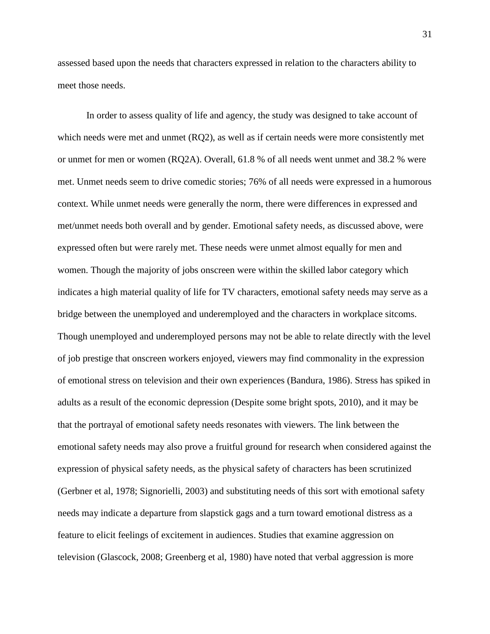assessed based upon the needs that characters expressed in relation to the characters ability to meet those needs.

In order to assess quality of life and agency, the study was designed to take account of which needs were met and unmet (RQ2), as well as if certain needs were more consistently met or unmet for men or women (RQ2A). Overall, 61.8 % of all needs went unmet and 38.2 % were met. Unmet needs seem to drive comedic stories; 76% of all needs were expressed in a humorous context. While unmet needs were generally the norm, there were differences in expressed and met/unmet needs both overall and by gender. Emotional safety needs, as discussed above, were expressed often but were rarely met. These needs were unmet almost equally for men and women. Though the majority of jobs onscreen were within the skilled labor category which indicates a high material quality of life for TV characters, emotional safety needs may serve as a bridge between the unemployed and underemployed and the characters in workplace sitcoms. Though unemployed and underemployed persons may not be able to relate directly with the level of job prestige that onscreen workers enjoyed, viewers may find commonality in the expression of emotional stress on television and their own experiences (Bandura, 1986). Stress has spiked in adults as a result of the economic depression (Despite some bright spots, 2010), and it may be that the portrayal of emotional safety needs resonates with viewers. The link between the emotional safety needs may also prove a fruitful ground for research when considered against the expression of physical safety needs, as the physical safety of characters has been scrutinized (Gerbner et al, 1978; Signorielli, 2003) and substituting needs of this sort with emotional safety needs may indicate a departure from slapstick gags and a turn toward emotional distress as a feature to elicit feelings of excitement in audiences. Studies that examine aggression on television (Glascock, 2008; Greenberg et al, 1980) have noted that verbal aggression is more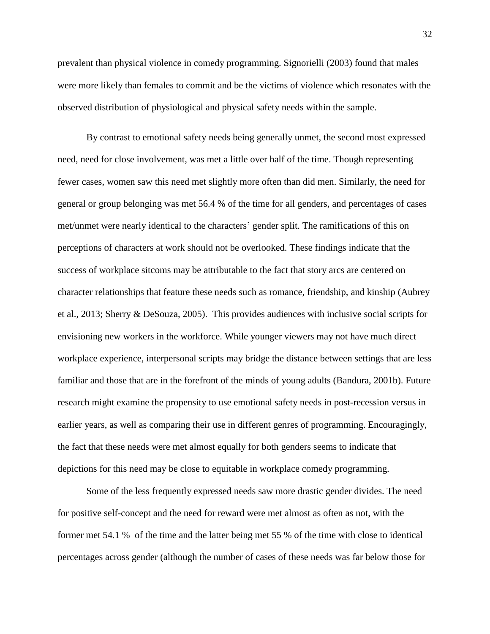prevalent than physical violence in comedy programming. Signorielli (2003) found that males were more likely than females to commit and be the victims of violence which resonates with the observed distribution of physiological and physical safety needs within the sample.

By contrast to emotional safety needs being generally unmet, the second most expressed need, need for close involvement, was met a little over half of the time. Though representing fewer cases, women saw this need met slightly more often than did men. Similarly, the need for general or group belonging was met 56.4 % of the time for all genders, and percentages of cases met/unmet were nearly identical to the characters' gender split. The ramifications of this on perceptions of characters at work should not be overlooked. These findings indicate that the success of workplace sitcoms may be attributable to the fact that story arcs are centered on character relationships that feature these needs such as romance, friendship, and kinship (Aubrey et al., 2013; Sherry & DeSouza, 2005). This provides audiences with inclusive social scripts for envisioning new workers in the workforce. While younger viewers may not have much direct workplace experience, interpersonal scripts may bridge the distance between settings that are less familiar and those that are in the forefront of the minds of young adults (Bandura, 2001b). Future research might examine the propensity to use emotional safety needs in post-recession versus in earlier years, as well as comparing their use in different genres of programming. Encouragingly, the fact that these needs were met almost equally for both genders seems to indicate that depictions for this need may be close to equitable in workplace comedy programming.

Some of the less frequently expressed needs saw more drastic gender divides. The need for positive self-concept and the need for reward were met almost as often as not, with the former met 54.1 % of the time and the latter being met 55 % of the time with close to identical percentages across gender (although the number of cases of these needs was far below those for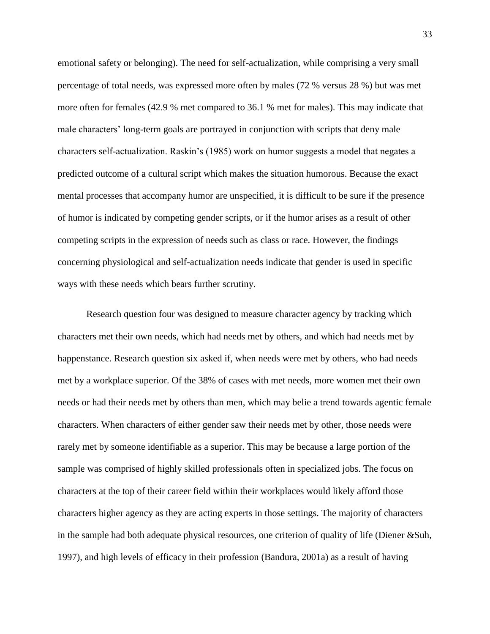emotional safety or belonging). The need for self-actualization, while comprising a very small percentage of total needs, was expressed more often by males (72 % versus 28 %) but was met more often for females (42.9 % met compared to 36.1 % met for males). This may indicate that male characters' long-term goals are portrayed in conjunction with scripts that deny male characters self-actualization. Raskin's (1985) work on humor suggests a model that negates a predicted outcome of a cultural script which makes the situation humorous. Because the exact mental processes that accompany humor are unspecified, it is difficult to be sure if the presence of humor is indicated by competing gender scripts, or if the humor arises as a result of other competing scripts in the expression of needs such as class or race. However, the findings concerning physiological and self-actualization needs indicate that gender is used in specific ways with these needs which bears further scrutiny.

Research question four was designed to measure character agency by tracking which characters met their own needs, which had needs met by others, and which had needs met by happenstance. Research question six asked if, when needs were met by others, who had needs met by a workplace superior. Of the 38% of cases with met needs, more women met their own needs or had their needs met by others than men, which may belie a trend towards agentic female characters. When characters of either gender saw their needs met by other, those needs were rarely met by someone identifiable as a superior. This may be because a large portion of the sample was comprised of highly skilled professionals often in specialized jobs. The focus on characters at the top of their career field within their workplaces would likely afford those characters higher agency as they are acting experts in those settings. The majority of characters in the sample had both adequate physical resources, one criterion of quality of life (Diener &Suh, 1997), and high levels of efficacy in their profession (Bandura, 2001a) as a result of having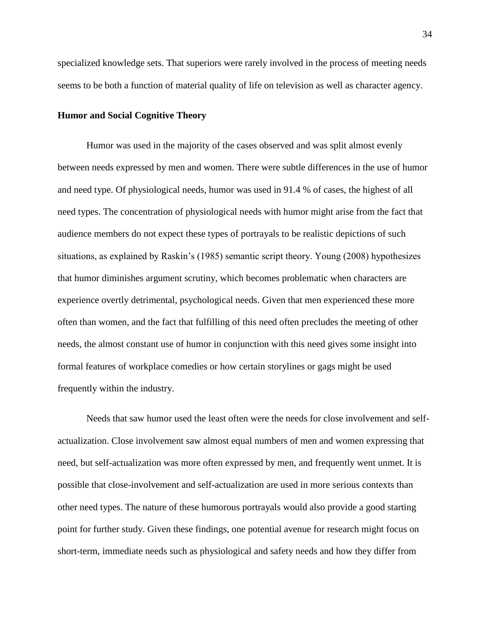specialized knowledge sets. That superiors were rarely involved in the process of meeting needs seems to be both a function of material quality of life on television as well as character agency.

#### **Humor and Social Cognitive Theory**

Humor was used in the majority of the cases observed and was split almost evenly between needs expressed by men and women. There were subtle differences in the use of humor and need type. Of physiological needs, humor was used in 91.4 % of cases, the highest of all need types. The concentration of physiological needs with humor might arise from the fact that audience members do not expect these types of portrayals to be realistic depictions of such situations, as explained by Raskin's (1985) semantic script theory. Young (2008) hypothesizes that humor diminishes argument scrutiny, which becomes problematic when characters are experience overtly detrimental, psychological needs. Given that men experienced these more often than women, and the fact that fulfilling of this need often precludes the meeting of other needs, the almost constant use of humor in conjunction with this need gives some insight into formal features of workplace comedies or how certain storylines or gags might be used frequently within the industry.

Needs that saw humor used the least often were the needs for close involvement and selfactualization. Close involvement saw almost equal numbers of men and women expressing that need, but self-actualization was more often expressed by men, and frequently went unmet. It is possible that close-involvement and self-actualization are used in more serious contexts than other need types. The nature of these humorous portrayals would also provide a good starting point for further study. Given these findings, one potential avenue for research might focus on short-term, immediate needs such as physiological and safety needs and how they differ from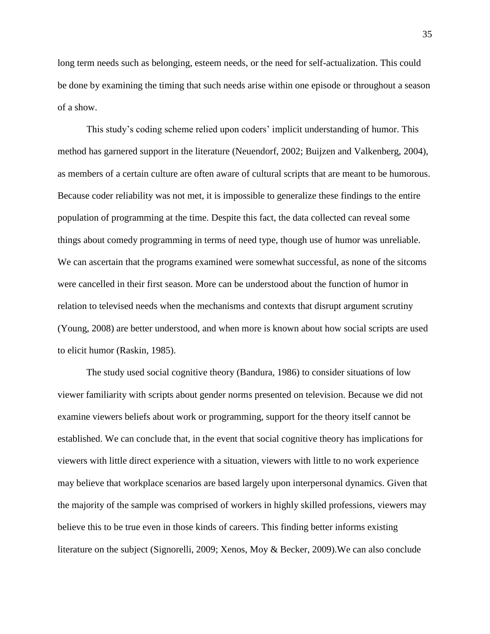long term needs such as belonging, esteem needs, or the need for self-actualization. This could be done by examining the timing that such needs arise within one episode or throughout a season of a show.

This study's coding scheme relied upon coders' implicit understanding of humor. This method has garnered support in the literature (Neuendorf, 2002; Buijzen and Valkenberg, 2004), as members of a certain culture are often aware of cultural scripts that are meant to be humorous. Because coder reliability was not met, it is impossible to generalize these findings to the entire population of programming at the time. Despite this fact, the data collected can reveal some things about comedy programming in terms of need type, though use of humor was unreliable. We can ascertain that the programs examined were somewhat successful, as none of the sitcoms were cancelled in their first season. More can be understood about the function of humor in relation to televised needs when the mechanisms and contexts that disrupt argument scrutiny (Young, 2008) are better understood, and when more is known about how social scripts are used to elicit humor (Raskin, 1985).

The study used social cognitive theory (Bandura, 1986) to consider situations of low viewer familiarity with scripts about gender norms presented on television. Because we did not examine viewers beliefs about work or programming, support for the theory itself cannot be established. We can conclude that, in the event that social cognitive theory has implications for viewers with little direct experience with a situation, viewers with little to no work experience may believe that workplace scenarios are based largely upon interpersonal dynamics. Given that the majority of the sample was comprised of workers in highly skilled professions, viewers may believe this to be true even in those kinds of careers. This finding better informs existing literature on the subject (Signorelli, 2009; Xenos, Moy & Becker, 2009).We can also conclude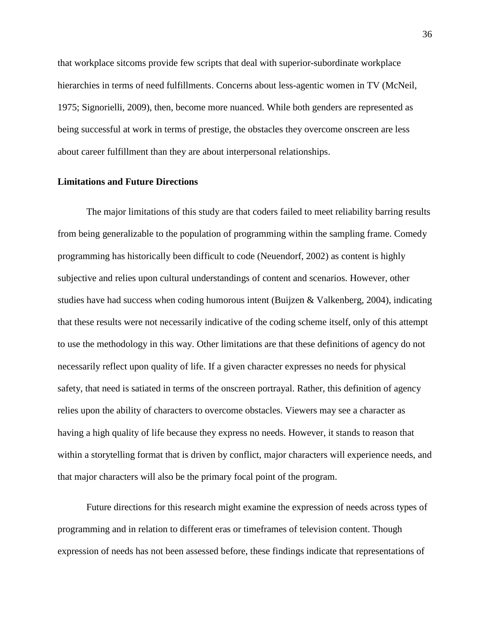that workplace sitcoms provide few scripts that deal with superior-subordinate workplace hierarchies in terms of need fulfillments. Concerns about less-agentic women in TV (McNeil, 1975; Signorielli, 2009), then, become more nuanced. While both genders are represented as being successful at work in terms of prestige, the obstacles they overcome onscreen are less about career fulfillment than they are about interpersonal relationships.

#### **Limitations and Future Directions**

The major limitations of this study are that coders failed to meet reliability barring results from being generalizable to the population of programming within the sampling frame. Comedy programming has historically been difficult to code (Neuendorf, 2002) as content is highly subjective and relies upon cultural understandings of content and scenarios. However, other studies have had success when coding humorous intent (Buijzen & Valkenberg, 2004), indicating that these results were not necessarily indicative of the coding scheme itself, only of this attempt to use the methodology in this way. Other limitations are that these definitions of agency do not necessarily reflect upon quality of life. If a given character expresses no needs for physical safety, that need is satiated in terms of the onscreen portrayal. Rather, this definition of agency relies upon the ability of characters to overcome obstacles. Viewers may see a character as having a high quality of life because they express no needs. However, it stands to reason that within a storytelling format that is driven by conflict, major characters will experience needs, and that major characters will also be the primary focal point of the program.

Future directions for this research might examine the expression of needs across types of programming and in relation to different eras or timeframes of television content. Though expression of needs has not been assessed before, these findings indicate that representations of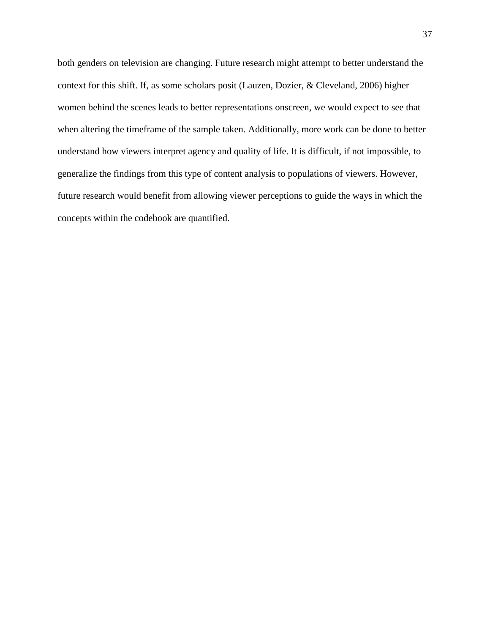both genders on television are changing. Future research might attempt to better understand the context for this shift. If, as some scholars posit (Lauzen, Dozier, & Cleveland, 2006) higher women behind the scenes leads to better representations onscreen, we would expect to see that when altering the timeframe of the sample taken. Additionally, more work can be done to better understand how viewers interpret agency and quality of life. It is difficult, if not impossible, to generalize the findings from this type of content analysis to populations of viewers. However, future research would benefit from allowing viewer perceptions to guide the ways in which the concepts within the codebook are quantified.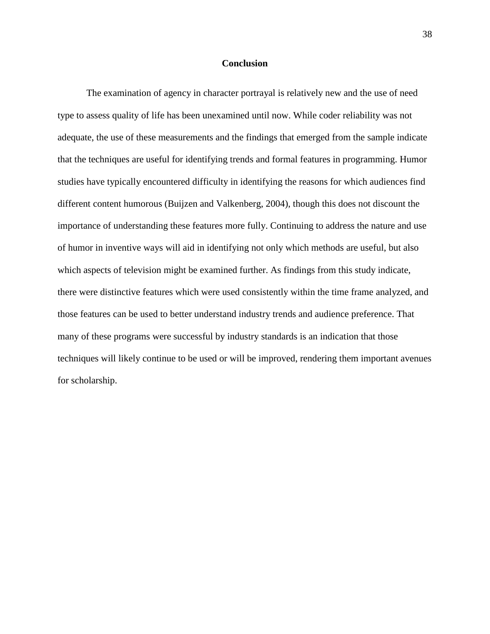#### **Conclusion**

The examination of agency in character portrayal is relatively new and the use of need type to assess quality of life has been unexamined until now. While coder reliability was not adequate, the use of these measurements and the findings that emerged from the sample indicate that the techniques are useful for identifying trends and formal features in programming. Humor studies have typically encountered difficulty in identifying the reasons for which audiences find different content humorous (Buijzen and Valkenberg, 2004), though this does not discount the importance of understanding these features more fully. Continuing to address the nature and use of humor in inventive ways will aid in identifying not only which methods are useful, but also which aspects of television might be examined further. As findings from this study indicate, there were distinctive features which were used consistently within the time frame analyzed, and those features can be used to better understand industry trends and audience preference. That many of these programs were successful by industry standards is an indication that those techniques will likely continue to be used or will be improved, rendering them important avenues for scholarship.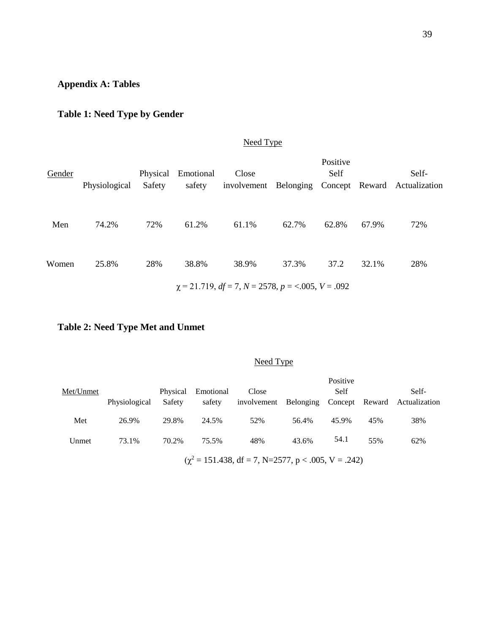# **Appendix A: Tables**

# **Table 1: Need Type by Gender**

# Need Type

| Gender | Physiological | Physical<br>Safety | Emotional<br>safety | Close                                                  |       | Positive<br>Self |       | Self-<br>involvement Belonging Concept Reward Actualization |
|--------|---------------|--------------------|---------------------|--------------------------------------------------------|-------|------------------|-------|-------------------------------------------------------------|
| Men    | 74.2%         | 72%                | 61.2%               | 61.1%                                                  | 62.7% | 62.8%            | 67.9% | 72%                                                         |
| Women  | 25.8%         | 28%                | 38.8%               | 38.9%                                                  | 37.3% | 37.2             | 32.1% | 28%                                                         |
|        |               |                    |                     | $\chi$ = 21.719, df = 7, N = 2578, p = <.005, V = .092 |       |                  |       |                                                             |

# **Table 2: Need Type Met and Unmet**

# Need Type

| Met/Unmet |               | Physical | Emotional | Close       |           | Positive<br>Self |     | Self-                        |
|-----------|---------------|----------|-----------|-------------|-----------|------------------|-----|------------------------------|
|           | Physiological | Safety   | safety    | involvement | Belonging |                  |     | Concept Reward Actualization |
| Met       | 26.9%         | 29.8%    | 24.5%     | 52%         | 56.4%     | 45.9%            | 45% | 38%                          |
| Unmet     | 73.1%         | 70.2%    | 75.5%     | 48%         | 43.6%     | 54.1             | 55% | 62%                          |

 $(\chi^2 = 151.438, df = 7, N=2577, p < .005, V = .242)$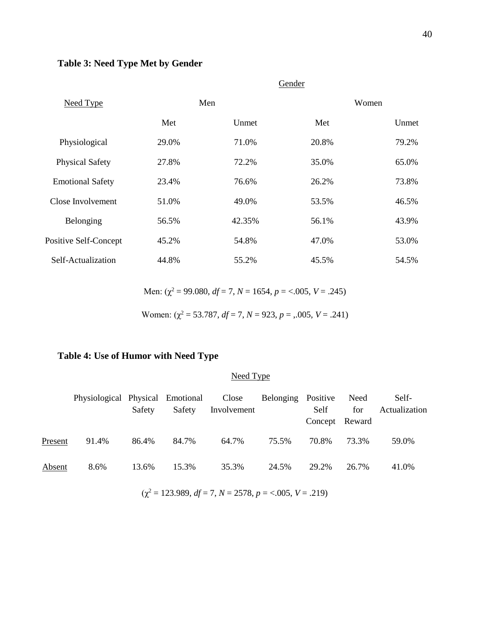# **Table 3: Need Type Met by Gender**

|                         |       |        | Gender |       |
|-------------------------|-------|--------|--------|-------|
| Need Type               |       | Men    |        | Women |
|                         | Met   | Unmet  | Met    | Unmet |
| Physiological           | 29.0% | 71.0%  | 20.8%  | 79.2% |
| <b>Physical Safety</b>  | 27.8% | 72.2%  | 35.0%  | 65.0% |
| <b>Emotional Safety</b> | 23.4% | 76.6%  | 26.2%  | 73.8% |
| Close Involvement       | 51.0% | 49.0%  | 53.5%  | 46.5% |
| Belonging               | 56.5% | 42.35% | 56.1%  | 43.9% |
| Positive Self-Concept   | 45.2% | 54.8%  | 47.0%  | 53.0% |
| Self-Actualization      | 44.8% | 55.2%  | 45.5%  | 54.5% |

Men:  $(\chi^2 = 99.080, df = 7, N = 1654, p = <.005, V = .245)$ 

Women:  $(\chi^2 = 53.787, df = 7, N = 923, p = .005, V = .241)$ 

# **Table 4: Use of Humor with Need Type**

# Need Type

|         | Physiological Physical Emotional Close |        |        |             | Belonging | Positive       | Need  | Self-         |
|---------|----------------------------------------|--------|--------|-------------|-----------|----------------|-------|---------------|
|         |                                        | Safety | Safety | Involvement |           | Self           | for   | Actualization |
|         |                                        |        |        |             |           | Concept Reward |       |               |
| Present | 91.4%                                  | 86.4%  | 84.7%  | 64.7%       | 75.5%     | 70.8%          | 73.3% | 59.0%         |
| Absent  | 8.6%                                   | 13.6%  | 15.3%  | 35.3%       | 24.5%     | 29.2%          | 26.7% | 41.0%         |

 $(\chi^2 = 123.989, df = 7, N = 2578, p = <.005, V = .219)$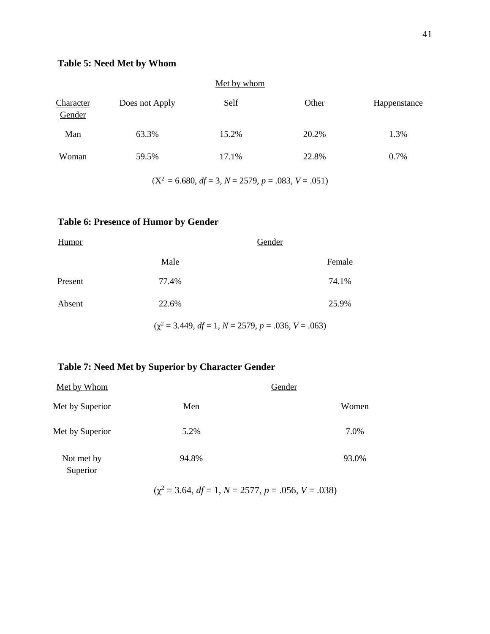# **Table 5: Need Met by Whom**

|                     |                | Met by whom |       |              |
|---------------------|----------------|-------------|-------|--------------|
| Character<br>Gender | Does not Apply | Self        | Other | Happenstance |
| Man                 | 63.3%          | 15.2%       | 20.2% | 1.3%         |
| Woman               | 59.5%          | 17.1%       | 22.8% | 0.7%         |

 $(X^2 = 6.680, df = 3, N = 2579, p = .083, V = .051)$ 

# **Table 6: Presence of Humor by Gender**

| Humor   |                                                          | Gender |
|---------|----------------------------------------------------------|--------|
|         | Male                                                     | Female |
| Present | 77.4%                                                    | 74.1%  |
| Absent  | 22.6%                                                    | 25.9%  |
|         | $(\chi^2 = 3.449, df = 1, N = 2579, p = .036, V = .063)$ |        |

# **Table 7: Need Met by Superior by Character Gender**

|       | Gender |
|-------|--------|
| Men   | Women  |
| 5.2%  | 7.0%   |
| 94.8% | 93.0%  |
|       |        |

 $(\chi^2 = 3.64, df = 1, N = 2577, p = .056, V = .038)$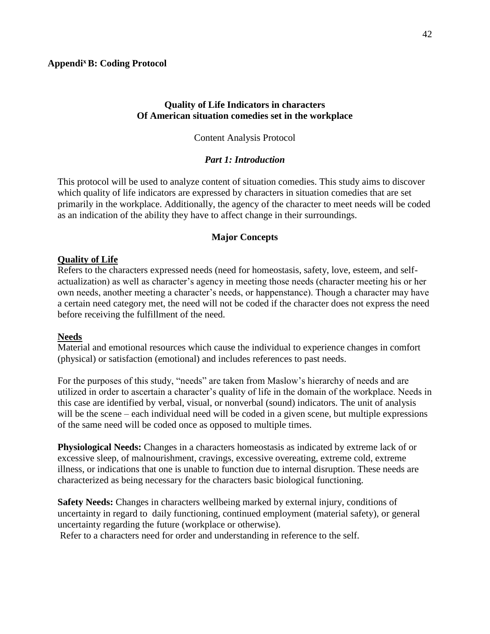### **Quality of Life Indicators in characters Of American situation comedies set in the workplace**

#### Content Analysis Protocol

### *Part 1: Introduction*

This protocol will be used to analyze content of situation comedies. This study aims to discover which quality of life indicators are expressed by characters in situation comedies that are set primarily in the workplace. Additionally, the agency of the character to meet needs will be coded as an indication of the ability they have to affect change in their surroundings.

### **Major Concepts**

### **Quality of Life**

Refers to the characters expressed needs (need for homeostasis, safety, love, esteem, and selfactualization) as well as character's agency in meeting those needs (character meeting his or her own needs, another meeting a character's needs, or happenstance). Though a character may have a certain need category met, the need will not be coded if the character does not express the need before receiving the fulfillment of the need.

#### **Needs**

Material and emotional resources which cause the individual to experience changes in comfort (physical) or satisfaction (emotional) and includes references to past needs.

For the purposes of this study, "needs" are taken from Maslow's hierarchy of needs and are utilized in order to ascertain a character's quality of life in the domain of the workplace. Needs in this case are identified by verbal, visual, or nonverbal (sound) indicators. The unit of analysis will be the scene – each individual need will be coded in a given scene, but multiple expressions of the same need will be coded once as opposed to multiple times.

**Physiological Needs:** Changes in a characters homeostasis as indicated by extreme lack of or excessive sleep, of malnourishment, cravings, excessive overeating, extreme cold, extreme illness, or indications that one is unable to function due to internal disruption. These needs are characterized as being necessary for the characters basic biological functioning.

**Safety Needs:** Changes in characters wellbeing marked by external injury, conditions of uncertainty in regard to daily functioning, continued employment (material safety), or general uncertainty regarding the future (workplace or otherwise).

Refer to a characters need for order and understanding in reference to the self.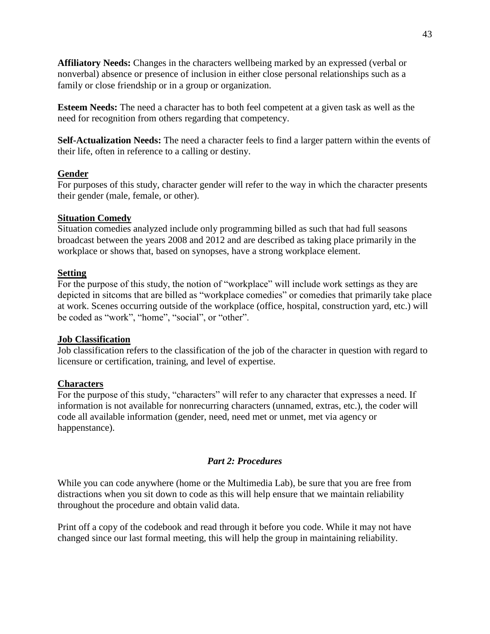**Affiliatory Needs:** Changes in the characters wellbeing marked by an expressed (verbal or nonverbal) absence or presence of inclusion in either close personal relationships such as a family or close friendship or in a group or organization.

**Esteem Needs:** The need a character has to both feel competent at a given task as well as the need for recognition from others regarding that competency.

**Self-Actualization Needs:** The need a character feels to find a larger pattern within the events of their life, often in reference to a calling or destiny.

# **Gender**

For purposes of this study, character gender will refer to the way in which the character presents their gender (male, female, or other).

### **Situation Comedy**

Situation comedies analyzed include only programming billed as such that had full seasons broadcast between the years 2008 and 2012 and are described as taking place primarily in the workplace or shows that, based on synopses, have a strong workplace element.

### **Setting**

For the purpose of this study, the notion of "workplace" will include work settings as they are depicted in sitcoms that are billed as "workplace comedies" or comedies that primarily take place at work. Scenes occurring outside of the workplace (office, hospital, construction yard, etc.) will be coded as "work", "home", "social", or "other".

#### **Job Classification**

Job classification refers to the classification of the job of the character in question with regard to licensure or certification, training, and level of expertise.

#### **Characters**

For the purpose of this study, "characters" will refer to any character that expresses a need. If information is not available for nonrecurring characters (unnamed, extras, etc.), the coder will code all available information (gender, need, need met or unmet, met via agency or happenstance).

#### *Part 2: Procedures*

While you can code anywhere (home or the Multimedia Lab), be sure that you are free from distractions when you sit down to code as this will help ensure that we maintain reliability throughout the procedure and obtain valid data.

Print off a copy of the codebook and read through it before you code. While it may not have changed since our last formal meeting, this will help the group in maintaining reliability.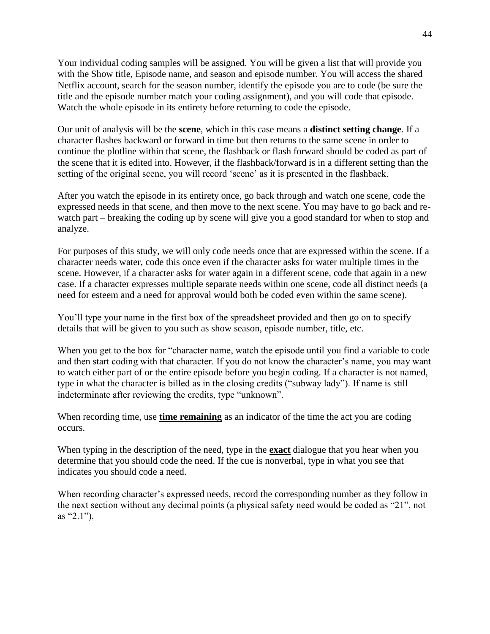Your individual coding samples will be assigned. You will be given a list that will provide you with the Show title, Episode name, and season and episode number. You will access the shared Netflix account, search for the season number, identify the episode you are to code (be sure the title and the episode number match your coding assignment), and you will code that episode. Watch the whole episode in its entirety before returning to code the episode.

Our unit of analysis will be the **scene**, which in this case means a **distinct setting change**. If a character flashes backward or forward in time but then returns to the same scene in order to continue the plotline within that scene, the flashback or flash forward should be coded as part of the scene that it is edited into. However, if the flashback/forward is in a different setting than the setting of the original scene, you will record 'scene' as it is presented in the flashback.

After you watch the episode in its entirety once, go back through and watch one scene, code the expressed needs in that scene, and then move to the next scene. You may have to go back and rewatch part – breaking the coding up by scene will give you a good standard for when to stop and analyze.

For purposes of this study, we will only code needs once that are expressed within the scene. If a character needs water, code this once even if the character asks for water multiple times in the scene. However, if a character asks for water again in a different scene, code that again in a new case. If a character expresses multiple separate needs within one scene, code all distinct needs (a need for esteem and a need for approval would both be coded even within the same scene).

You'll type your name in the first box of the spreadsheet provided and then go on to specify details that will be given to you such as show season, episode number, title, etc.

When you get to the box for "character name, watch the episode until you find a variable to code and then start coding with that character. If you do not know the character's name, you may want to watch either part of or the entire episode before you begin coding. If a character is not named, type in what the character is billed as in the closing credits ("subway lady"). If name is still indeterminate after reviewing the credits, type "unknown".

When recording time, use **time remaining** as an indicator of the time the act you are coding occurs.

When typing in the description of the need, type in the **exact** dialogue that you hear when you determine that you should code the need. If the cue is nonverbal, type in what you see that indicates you should code a need.

When recording character's expressed needs, record the corresponding number as they follow in the next section without any decimal points (a physical safety need would be coded as "21", not as "2.1").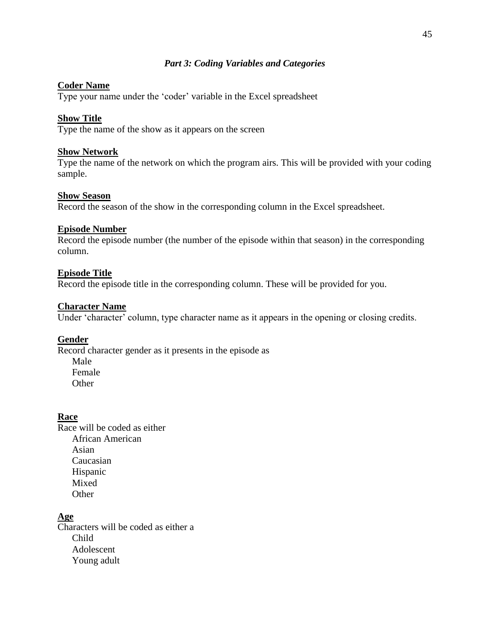# *Part 3: Coding Variables and Categories*

# **Coder Name**

Type your name under the 'coder' variable in the Excel spreadsheet

### **Show Title**

Type the name of the show as it appears on the screen

#### **Show Network**

Type the name of the network on which the program airs. This will be provided with your coding sample.

#### **Show Season**

Record the season of the show in the corresponding column in the Excel spreadsheet.

#### **Episode Number**

Record the episode number (the number of the episode within that season) in the corresponding column.

### **Episode Title**

Record the episode title in the corresponding column. These will be provided for you.

### **Character Name**

Under 'character' column, type character name as it appears in the opening or closing credits.

#### **Gender**

Record character gender as it presents in the episode as Male Female **Other** 

#### **Race**

Race will be coded as either African American Asian Caucasian Hispanic Mixed **Other** 

# **Age**

Characters will be coded as either a Child Adolescent Young adult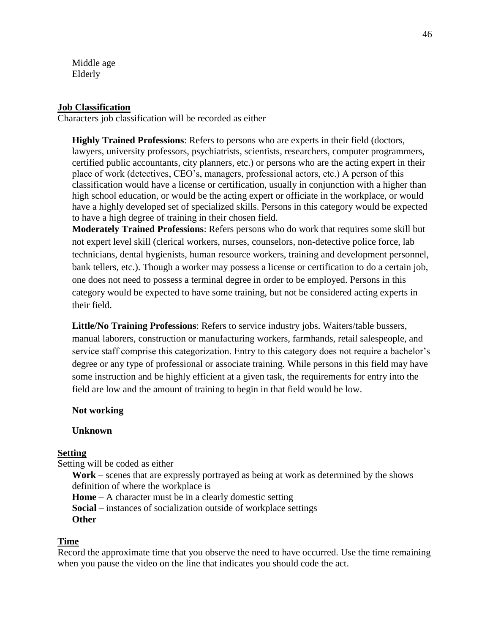Middle age Elderly

### **Job Classification**

Characters job classification will be recorded as either

**Highly Trained Professions**: Refers to persons who are experts in their field (doctors, lawyers, university professors, psychiatrists, scientists, researchers, computer programmers, certified public accountants, city planners, etc.) or persons who are the acting expert in their place of work (detectives, CEO's, managers, professional actors, etc.) A person of this classification would have a license or certification, usually in conjunction with a higher than high school education, or would be the acting expert or officiate in the workplace, or would have a highly developed set of specialized skills. Persons in this category would be expected to have a high degree of training in their chosen field.

**Moderately Trained Professions**: Refers persons who do work that requires some skill but not expert level skill (clerical workers, nurses, counselors, non-detective police force, lab technicians, dental hygienists, human resource workers, training and development personnel, bank tellers, etc.). Though a worker may possess a license or certification to do a certain job, one does not need to possess a terminal degree in order to be employed. Persons in this category would be expected to have some training, but not be considered acting experts in their field.

**Little/No Training Professions**: Refers to service industry jobs. Waiters/table bussers, manual laborers, construction or manufacturing workers, farmhands, retail salespeople, and service staff comprise this categorization. Entry to this category does not require a bachelor's degree or any type of professional or associate training. While persons in this field may have some instruction and be highly efficient at a given task, the requirements for entry into the field are low and the amount of training to begin in that field would be low.

#### **Not working**

#### **Unknown**

### **Setting**

Setting will be coded as either

**Work** – scenes that are expressly portrayed as being at work as determined by the shows definition of where the workplace is

**Home** – A character must be in a clearly domestic setting

**Social** – instances of socialization outside of workplace settings

**Other**

### **Time**

Record the approximate time that you observe the need to have occurred. Use the time remaining when you pause the video on the line that indicates you should code the act.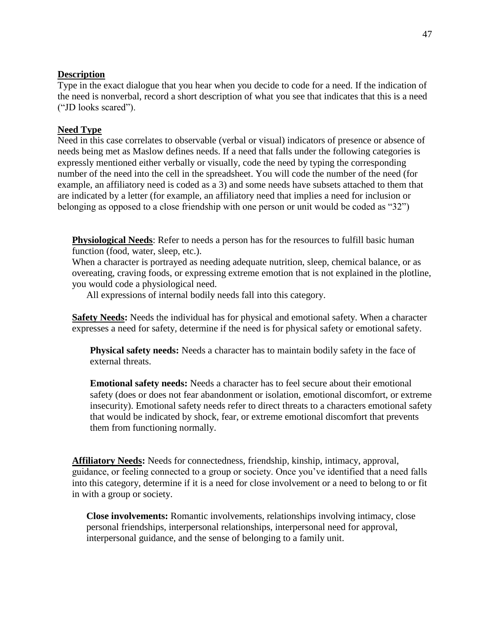### **Description**

Type in the exact dialogue that you hear when you decide to code for a need. If the indication of the need is nonverbal, record a short description of what you see that indicates that this is a need ("JD looks scared").

### **Need Type**

Need in this case correlates to observable (verbal or visual) indicators of presence or absence of needs being met as Maslow defines needs. If a need that falls under the following categories is expressly mentioned either verbally or visually, code the need by typing the corresponding number of the need into the cell in the spreadsheet. You will code the number of the need (for example, an affiliatory need is coded as a 3) and some needs have subsets attached to them that are indicated by a letter (for example, an affiliatory need that implies a need for inclusion or belonging as opposed to a close friendship with one person or unit would be coded as "32")

**Physiological Needs**: Refer to needs a person has for the resources to fulfill basic human function (food, water, sleep, etc.).

When a character is portrayed as needing adequate nutrition, sleep, chemical balance, or as overeating, craving foods, or expressing extreme emotion that is not explained in the plotline, you would code a physiological need.

All expressions of internal bodily needs fall into this category.

**Safety Needs:** Needs the individual has for physical and emotional safety. When a character expresses a need for safety, determine if the need is for physical safety or emotional safety.

**Physical safety needs:** Needs a character has to maintain bodily safety in the face of external threats.

**Emotional safety needs:** Needs a character has to feel secure about their emotional safety (does or does not fear abandonment or isolation, emotional discomfort, or extreme insecurity). Emotional safety needs refer to direct threats to a characters emotional safety that would be indicated by shock, fear, or extreme emotional discomfort that prevents them from functioning normally.

**Affiliatory Needs:** Needs for connectedness, friendship, kinship, intimacy, approval, guidance, or feeling connected to a group or society. Once you've identified that a need falls into this category, determine if it is a need for close involvement or a need to belong to or fit in with a group or society.

**Close involvements:** Romantic involvements, relationships involving intimacy, close personal friendships, interpersonal relationships, interpersonal need for approval, interpersonal guidance, and the sense of belonging to a family unit.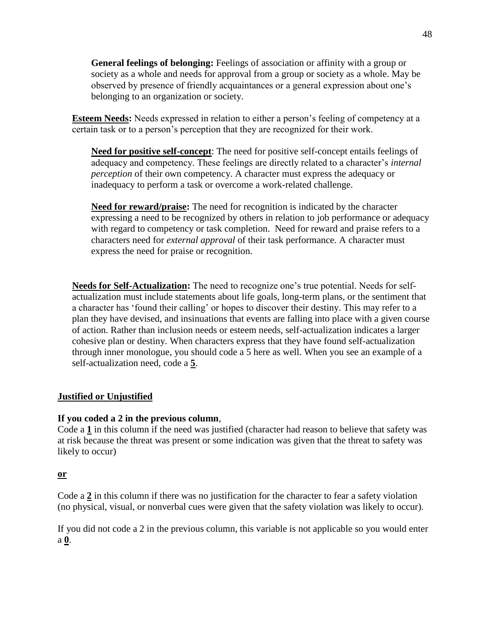**General feelings of belonging:** Feelings of association or affinity with a group or society as a whole and needs for approval from a group or society as a whole. May be observed by presence of friendly acquaintances or a general expression about one's belonging to an organization or society.

**Esteem Needs:** Needs expressed in relation to either a person's feeling of competency at a certain task or to a person's perception that they are recognized for their work.

**Need for positive self-concept**: The need for positive self-concept entails feelings of adequacy and competency. These feelings are directly related to a character's *internal perception* of their own competency. A character must express the adequacy or inadequacy to perform a task or overcome a work-related challenge.

**Need for reward/praise:** The need for recognition is indicated by the character expressing a need to be recognized by others in relation to job performance or adequacy with regard to competency or task completion. Need for reward and praise refers to a characters need for *external approval* of their task performance. A character must express the need for praise or recognition.

**Needs for Self-Actualization:** The need to recognize one's true potential. Needs for selfactualization must include statements about life goals, long-term plans, or the sentiment that a character has 'found their calling' or hopes to discover their destiny. This may refer to a plan they have devised, and insinuations that events are falling into place with a given course of action. Rather than inclusion needs or esteem needs, self-actualization indicates a larger cohesive plan or destiny. When characters express that they have found self-actualization through inner monologue, you should code a 5 here as well. When you see an example of a self-actualization need, code a **5**.

# **Justified or Unjustified**

# **If you coded a 2 in the previous column**,

Code a **1** in this column if the need was justified (character had reason to believe that safety was at risk because the threat was present or some indication was given that the threat to safety was likely to occur)

# **or**

Code a **2** in this column if there was no justification for the character to fear a safety violation (no physical, visual, or nonverbal cues were given that the safety violation was likely to occur).

If you did not code a 2 in the previous column, this variable is not applicable so you would enter a **0**.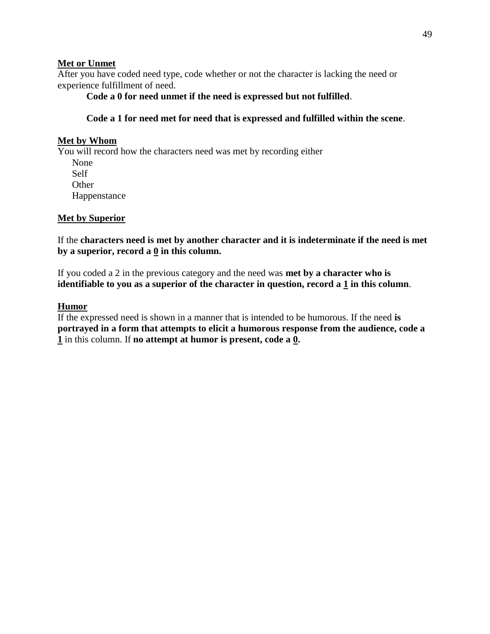# **Met or Unmet**

After you have coded need type, code whether or not the character is lacking the need or experience fulfillment of need.

**Code a 0 for need unmet if the need is expressed but not fulfilled**.

# **Code a 1 for need met for need that is expressed and fulfilled within the scene**.

# **Met by Whom**

You will record how the characters need was met by recording either None Self **Other** Happenstance

# **Met by Superior**

If the **characters need is met by another character and it is indeterminate if the need is met by a superior, record a 0 in this column.**

If you coded a 2 in the previous category and the need was **met by a character who is identifiable to you as a superior of the character in question, record a 1 in this column**.

# **Humor**

If the expressed need is shown in a manner that is intended to be humorous. If the need **is portrayed in a form that attempts to elicit a humorous response from the audience, code a 1** in this column. If **no attempt at humor is present, code a 0.**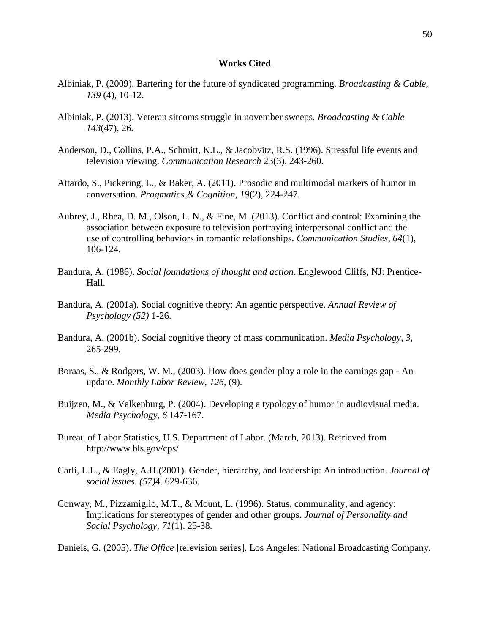#### **Works Cited**

- Albiniak, P. (2009). Bartering for the future of syndicated programming. *Broadcasting & Cable, 139* (4), 10-12.
- Albiniak, P. (2013). Veteran sitcoms struggle in november sweeps. *Broadcasting & Cable 143*(47), 26.
- Anderson, D., Collins, P.A., Schmitt, K.L., & Jacobvitz, R.S. (1996). Stressful life events and television viewing. *Communication Research* 23(3). 243-260.
- Attardo, S., Pickering, L., & Baker, A. (2011). Prosodic and multimodal markers of humor in conversation. *Pragmatics & Cognition, 19*(2), 224-247.
- Aubrey, J., Rhea, D. M., Olson, L. N., & Fine, M. (2013). Conflict and control: Examining the association between exposure to television portraying interpersonal conflict and the use of controlling behaviors in romantic relationships. *Communication Studies*, *64*(1), 106-124.
- Bandura, A. (1986). *Social foundations of thought and action*. Englewood Cliffs, NJ: Prentice-Hall.
- Bandura, A. (2001a). Social cognitive theory: An agentic perspective. *Annual Review of Psychology (52)* 1-26.
- Bandura, A. (2001b). Social cognitive theory of mass communication. *Media Psychology, 3,* 265-299.
- Boraas, S., & Rodgers, W. M., (2003). How does gender play a role in the earnings gap An update. *Monthly Labor Review*, *126*, (9).
- Buijzen, M., & Valkenburg, P. (2004). Developing a typology of humor in audiovisual media. *Media Psychology, 6* 147-167.
- Bureau of Labor Statistics, U.S. Department of Labor. (March, 2013). Retrieved from http://www.bls.gov/cps/
- Carli, L.L., & Eagly, A.H.(2001). Gender, hierarchy, and leadership: An introduction. *Journal of social issues. (57)*4. 629-636.
- Conway, M., Pizzamiglio, M.T., & Mount, L. (1996). Status, communality, and agency: Implications for stereotypes of gender and other groups. *Journal of Personality and Social Psychology*, *71*(1). 25-38.

Daniels, G. (2005). *The Office* [television series]. Los Angeles: National Broadcasting Company.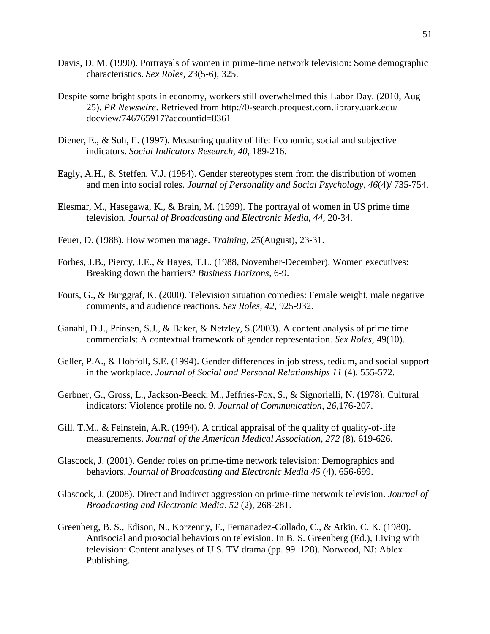- Davis, D. M. (1990). Portrayals of women in prime-time network television: Some demographic characteristics. *Sex Roles, 23*(5-6), 325.
- Despite some bright spots in economy, workers still overwhelmed this Labor Day. (2010, Aug 25). *PR Newswire*. Retrieved from http://0-search.proquest.com.library.uark.edu/ docview/746765917?accountid=8361
- Diener, E., & Suh, E. (1997). Measuring quality of life: Economic, social and subjective indicators. *Social Indicators Research, 40*, 189-216.
- Eagly, A.H., & Steffen, V.J. (1984). Gender stereotypes stem from the distribution of women and men into social roles. *Journal of Personality and Social Psychology, 46*(4)/ 735-754.
- Elesmar, M., Hasegawa, K., & Brain, M. (1999). The portrayal of women in US prime time television. *Journal of Broadcasting and Electronic Media, 44,* 20-34.
- Feuer, D. (1988). How women manage. *Training, 25*(August), 23-31.
- Forbes, J.B., Piercy, J.E., & Hayes, T.L. (1988, November-December). Women executives: Breaking down the barriers? *Business Horizons,* 6-9.
- Fouts, G., & Burggraf, K. (2000). Television situation comedies: Female weight, male negative comments, and audience reactions. *Sex Roles, 42*, 925-932.
- Ganahl, D.J., Prinsen, S.J., & Baker, & Netzley, S.(2003). A content analysis of prime time commercials: A contextual framework of gender representation. *Sex Roles,* 49(10).
- Geller, P.A., & Hobfoll, S.E. (1994). Gender differences in job stress, tedium, and social support in the workplace. *Journal of Social and Personal Relationships 11* (4). 555-572.
- Gerbner, G., Gross, L., Jackson-Beeck, M., Jeffries-Fox, S., & Signorielli, N. (1978). Cultural indicators: Violence profile no. 9. *Journal of Communication, 26,*176-207.
- Gill, T.M., & Feinstein, A.R. (1994). A critical appraisal of the quality of quality-of-life measurements. *Journal of the American Medical Association, 272* (8). 619-626.
- Glascock, J. (2001). Gender roles on prime-time network television: Demographics and behaviors. *Journal of Broadcasting and Electronic Media 45* (4), 656-699.
- Glascock, J. (2008). Direct and indirect aggression on prime-time network television. *Journal of Broadcasting and Electronic Media*. *52* (2), 268-281.
- Greenberg, B. S., Edison, N., Korzenny, F., Fernanadez-Collado, C., & Atkin, C. K. (1980). Antisocial and prosocial behaviors on television. In B. S. Greenberg (Ed.), Living with television: Content analyses of U.S. TV drama (pp. 99–128). Norwood, NJ: Ablex Publishing.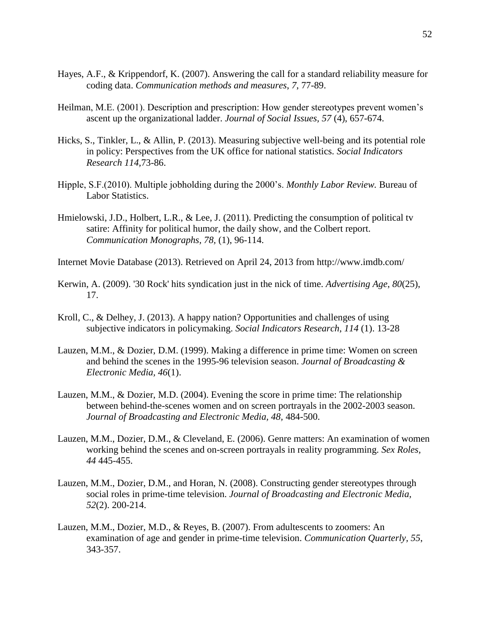- Hayes, A.F., & Krippendorf, K. (2007). Answering the call for a standard reliability measure for coding data. *Communication methods and measures*, *7*, 77-89.
- Heilman, M.E. (2001). Description and prescription: How gender stereotypes prevent women's ascent up the organizational ladder. *Journal of Social Issues, 57* (4), 657-674.
- Hicks, S., Tinkler, L., & Allin, P. (2013). Measuring subjective well-being and its potential role in policy: Perspectives from the UK office for national statistics. *Social Indicators Research 114,*73-86.
- Hipple, S.F.(2010). Multiple jobholding during the 2000's. *Monthly Labor Review.* Bureau of Labor Statistics.
- Hmielowski, J.D., Holbert, L.R., & Lee, J. (2011). Predicting the consumption of political tv satire: Affinity for political humor, the daily show, and the Colbert report. *Communication Monographs, 78,* (1), 96-114.
- Internet Movie Database (2013). Retrieved on April 24, 2013 from http://www.imdb.com/
- Kerwin, A. (2009). '30 Rock' hits syndication just in the nick of time. *Advertising Age*, *80*(25), 17.
- Kroll, C., & Delhey, J. (2013). A happy nation? Opportunities and challenges of using subjective indicators in policymaking. *Social Indicators Research*, *114* (1). 13-28
- Lauzen, M.M., & Dozier, D.M. (1999). Making a difference in prime time: Women on screen and behind the scenes in the 1995-96 television season. *Journal of Broadcasting & Electronic Media, 46*(1).
- Lauzen, M.M., & Dozier, M.D. (2004). Evening the score in prime time: The relationship between behind-the-scenes women and on screen portrayals in the 2002-2003 season. *Journal of Broadcasting and Electronic Media, 48,* 484-500.
- Lauzen, M.M., Dozier, D.M., & Cleveland, E. (2006). Genre matters: An examination of women working behind the scenes and on-screen portrayals in reality programming. *Sex Roles, 44* 445-455.
- Lauzen, M.M., Dozier, D.M., and Horan, N. (2008). Constructing gender stereotypes through social roles in prime-time television. *Journal of Broadcasting and Electronic Media, 52*(2). 200-214.
- Lauzen, M.M., Dozier, M.D., & Reyes, B. (2007). From adultescents to zoomers: An examination of age and gender in prime-time television. *Communication Quarterly, 55*, 343-357.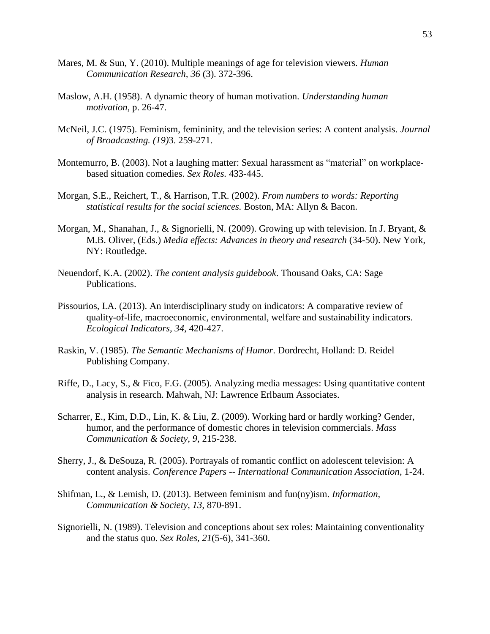- Mares, M. & Sun, Y. (2010). Multiple meanings of age for television viewers. *Human Communication Research, 36* (3). 372-396.
- Maslow, A.H. (1958). A dynamic theory of human motivation. *Understanding human motivation*, p. 26-47.
- McNeil, J.C. (1975). Feminism, femininity, and the television series: A content analysis. *Journal of Broadcasting. (19)*3. 259-271.
- Montemurro, B. (2003). Not a laughing matter: Sexual harassment as "material" on workplacebased situation comedies. *Sex Roles.* 433-445.
- Morgan, S.E., Reichert, T., & Harrison, T.R. (2002). *From numbers to words: Reporting statistical results for the social sciences.* Boston, MA: Allyn & Bacon.
- Morgan, M., Shanahan, J., & Signorielli, N. (2009). Growing up with television. In J. Bryant, & M.B. Oliver, (Eds.) *Media effects: Advances in theory and research* (34-50). New York, NY: Routledge.
- Neuendorf, K.A. (2002). *The content analysis guidebook*. Thousand Oaks, CA: Sage Publications.
- Pissourios, I.A. (2013). An interdisciplinary study on indicators: A comparative review of quality-of-life, macroeconomic, environmental, welfare and sustainability indicators. *Ecological Indicators, 34*, 420-427.
- Raskin, V. (1985). *The Semantic Mechanisms of Humor*. Dordrecht, Holland: D. Reidel Publishing Company.
- Riffe, D., Lacy, S., & Fico, F.G. (2005). Analyzing media messages: Using quantitative content analysis in research. Mahwah, NJ: Lawrence Erlbaum Associates.
- Scharrer, E., Kim, D.D., Lin, K. & Liu, Z. (2009). Working hard or hardly working? Gender, humor, and the performance of domestic chores in television commercials. *Mass Communication & Society, 9*, 215-238.
- Sherry, J., & DeSouza, R. (2005). Portrayals of romantic conflict on adolescent television: A content analysis. *Conference Papers -- International Communication Association*, 1-24.
- Shifman, L., & Lemish, D. (2013). Between feminism and fun(ny)ism. *Information, Communication & Society, 13,* 870-891.
- Signorielli, N. (1989). Television and conceptions about sex roles: Maintaining conventionality and the status quo. *Sex Roles, 21*(5-6), 341-360.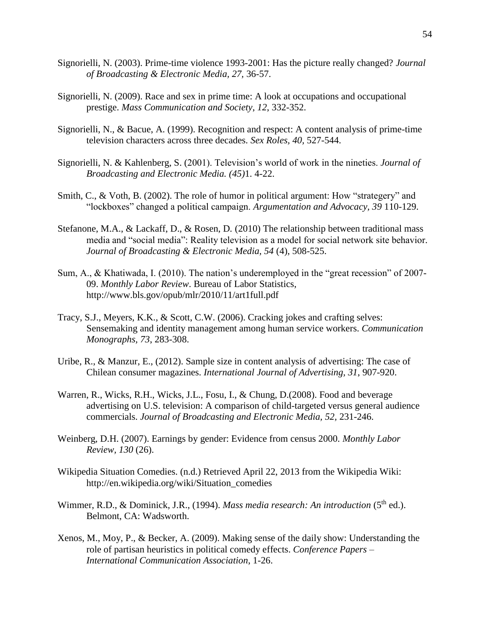- Signorielli, N. (2003). Prime-time violence 1993-2001: Has the picture really changed? *Journal of Broadcasting & Electronic Media, 27,* 36-57.
- Signorielli, N. (2009). Race and sex in prime time: A look at occupations and occupational prestige. *Mass Communication and Society*, *12*, 332-352.
- Signorielli, N., & Bacue, A. (1999). Recognition and respect: A content analysis of prime-time television characters across three decades. *Sex Roles, 40,* 527-544.
- Signorielli, N. & Kahlenberg, S. (2001). Television's world of work in the nineties. *Journal of Broadcasting and Electronic Media. (45)*1. 4-22.
- Smith, C., & Voth, B. (2002). The role of humor in political argument: How "strategery" and "lockboxes" changed a political campaign. *Argumentation and Advocacy, 39* 110-129.
- Stefanone, M.A., & Lackaff, D., & Rosen, D*.* (2010) The relationship between traditional mass media and "social media": Reality television as a model for social network site behavior*. Journal of Broadcasting & Electronic Media, 54* (4), 508-525.
- Sum, A., & Khatiwada, I. (2010). The nation's underemployed in the "great recession" of 2007- 09. *Monthly Labor Review*. Bureau of Labor Statistics, http://www.bls.gov/opub/mlr/2010/11/art1full.pdf
- Tracy, S.J., Meyers, K.K., & Scott, C.W. (2006). Cracking jokes and crafting selves: Sensemaking and identity management among human service workers. *Communication Monographs, 73*, 283-308.
- Uribe, R., & Manzur, E., (2012). Sample size in content analysis of advertising: The case of Chilean consumer magazines. *International Journal of Advertising, 31*, 907-920.
- Warren, R., Wicks, R.H., Wicks, J.L., Fosu, I., & Chung, D.(2008). Food and beverage advertising on U.S. television: A comparison of child-targeted versus general audience commercials. *Journal of Broadcasting and Electronic Media, 52,* 231-246.
- Weinberg, D.H. (2007). Earnings by gender: Evidence from census 2000. *Monthly Labor Review, 130* (26).
- Wikipedia Situation Comedies. (n.d.) Retrieved April 22, 2013 from the Wikipedia Wiki: http://en.wikipedia.org/wiki/Situation\_comedies
- Wimmer, R.D., & Dominick, J.R., (1994). *Mass media research: An introduction* (5<sup>th</sup> ed.). Belmont, CA: Wadsworth.
- Xenos, M., Moy, P., & Becker, A. (2009). Making sense of the daily show: Understanding the role of partisan heuristics in political comedy effects. *Conference Papers – International Communication Association*, 1-26.